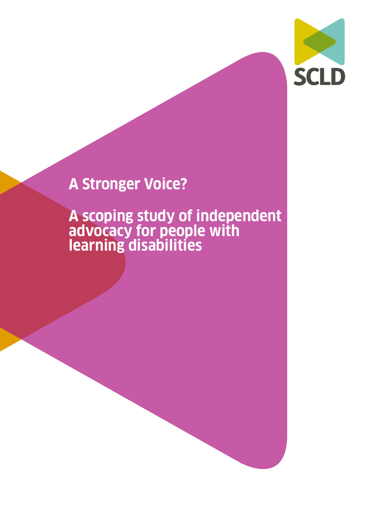

# **A Stronger Voice?**

**A scoping study of independent advocacy for people with learning disabilities**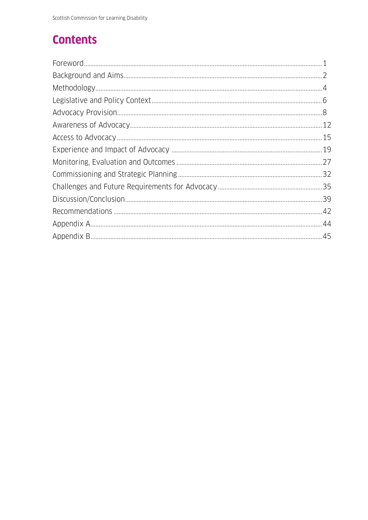# **Contents**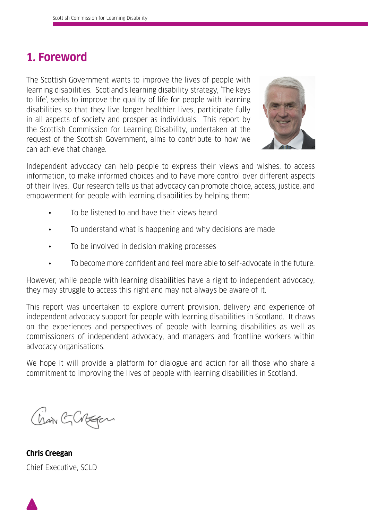#### **1. Foreword** with the learning disabilities.

The Scottish Government wants to improve the lives of people with learning disabilities. Scotland's learning disability strategy, 'The keys to life', seeks to improve the quality of life for people with learning disabilities so that they live longer healthier lives, participate fully in all aspects of society and prosper as individuals. This report by the Scottish Commission for Learning Disability, undertaken at the request of the Scottish Government, aims to contribute to how we can achieve that change. Work contribute to a health when when where  $\alpha$ and control, live more independently and participate as active citizens.



Independent advocacy can help people to express their views and wishes, to access information, to make informed choices and to have more control over different aspects of their lives. Our research tells us that advocacy can promote choice, access, justice, and empowerment for people with learning disabilities by helping them: We need to be just as ambitious for people with learning disabilities as we

- To be listened to and have their views heard
- To understand what is happening and why decisions are made
- To be involved in decision making processes
- To become more confident and feel more able to self-advocate in the future.

However, while people with learning disabilities have a right to independent advocacy, they may struggle to access this right and may not always be aware of it. IUWCVCI, WITHE DEUDIE WITH ICALING ABOUTHING HAVE A IT

This report was undertaken to explore current provision, delivery and experience of Intervent was share taken to explore corrent provision, denvery and experience of independent advocacy support for people with learning disabilities in Scotland. It draws on the experiences and perspectives of people with learning disabilities as well as commissioners of independent advocacy, and managers and frontline workers within advocacy organisations. The learning disability of  $\alpha$ INCPCHUCHT GUVOLALY SUPPULT FOR PEOPIC WITH ICALINIIS C

We hope it will provide a platform for dialogue and action for all those who share a commitment to improving the lives of people with learning disabilities in Scotland.

Chan GCAgger

Chris Creegan Chief Executive, SCLD

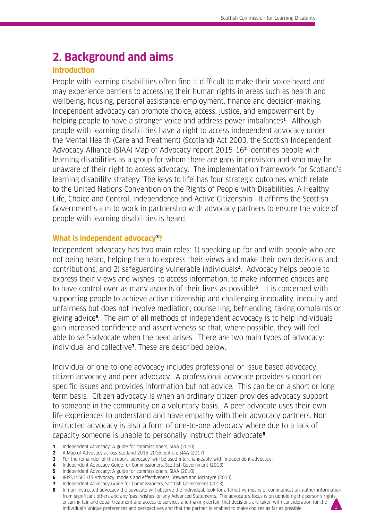# **2. Background and aims**

# **Introduction**

People with learning disabilities often find it difficult to make their voice heard and may experience barriers to accessing their human rights in areas such as health and wellbeing, housing, personal assistance, employment, finance and decision-making. Independent advocacy can promote choice, access, justice, and empowerment by helping people to have a stronger voice and address power imbalances**1**. Although people with learning disabilities have a right to access independent advocacy under the Mental Health (Care and Treatment) (Scotland) Act 2003, the Scottish Independent Advocacy Alliance (SIAA) Map of Advocacy report 2015-16**2** identifies people with learning disabilities as a group for whom there are gaps in provision and who may be unaware of their right to access advocacy. The implementation framework for Scotland's learning disability strategy 'The keys to life' has four strategic outcomes which relate to the United Nations Convention on the Rights of People with Disabilities: A Healthy Life, Choice and Control, Independence and Active Citizenship. It affirms the Scottish Government's aim to work in partnership with advocacy partners to ensure the voice of people with learning disabilities is heard.

# **What is independent advocacy3?**

Independent advocacy has two main roles: 1) speaking up for and with people who are not being heard, helping them to express their views and make their own decisions and contributions; and 2) safeguarding vulnerable individuals**4**. Advocacy helps people to express their views and wishes, to access information, to make informed choices and to have control over as many aspects of their lives as possible**5**. It is concerned with supporting people to achieve active citizenship and challenging inequality, inequity and unfairness but does not involve mediation, counselling, befriending, taking complaints or giving advice**6**. The aim of all methods of independent advocacy is to help individuals gain increased confidence and assertiveness so that, where possible, they will feel able to self-advocate when the need arises. There are two main types of advocacy: individual and collective**7**. These are described below.

Individual or one-to-one advocacy includes professional or issue based advocacy, citizen advocacy and peer advocacy. A professional advocate provides support on specific issues and provides information but not advice. This can be on a short or long term basis. Citizen advocacy is when an ordinary citizen provides advocacy support to someone in the community on a voluntary basis. A peer advocate uses their own life experiences to understand and have empathy with their advocacy partners. Non instructed advocacy is also a form of one-to-one advocacy where due to a lack of capacity someone is unable to personally instruct their advocate**8**.

**3** For the remainder of the report 'advocacy' will be used interchangeably with 'independent advocacy'.

- **5** Independent Advocacy: A guide for commissioners, SIAA (2010)
- **6** IRISS INSIGHTS Advocacy: models and effectiveness, Stewart and McIntyre (2013)
- **7** Independent Advocacy Guide for Commissioners, Scottish Government (2013)
- 2 **8** In non-instructed advocacy the advocate will observe the individual, look for alternative means of communication, gather information from significant others and any 'past wishes' or any Advanced Statements. The advocate's focus is on upholding the person's rights, ensuring fair and equal treatment and access to services and making certain that decisions are taken with consideration for the individual's unique preferences and perspectives and that the partner is enabled to make choices as far as possible.

**<sup>1</sup>** Independent Advocacy: A guide for commissioners, SIAA (2010)

**<sup>2</sup>** A Map of Advocacy across Scotland 2015-2016 edition, SIAA (2017)

**<sup>4</sup>** Independent Advocacy Guide for Commissioners, Scottish Government (2013)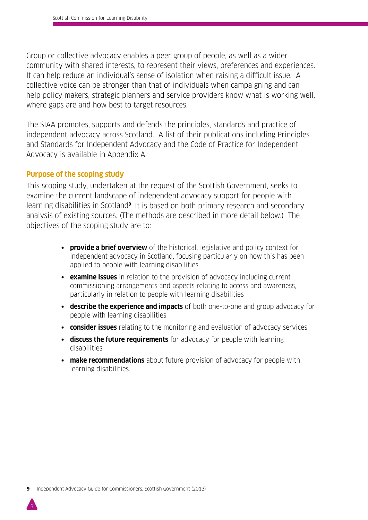Group or collective advocacy enables a peer group of people, as well as a wider community with shared interests, to represent their views, preferences and experiences. It can help reduce an individual's sense of isolation when raising a difficult issue. A collective voice can be stronger than that of individuals when campaigning and can help policy makers, strategic planners and service providers know what is working well, where gaps are and how best to target resources.

The SIAA promotes, supports and defends the principles, standards and practice of independent advocacy across Scotland. A list of their publications including Principles and Standards for Independent Advocacy and the Code of Practice for Independent Advocacy is available in Appendix A.

#### **Purpose of the scoping study**

This scoping study, undertaken at the request of the Scottish Government, seeks to examine the current landscape of independent advocacy support for people with learning disabilities in Scotland**9**. It is based on both primary research and secondary analysis of existing sources. (The methods are described in more detail below.) The objectives of the scoping study are to:

- **• provide a brief overview** of the historical, legislative and policy context for independent advocacy in Scotland, focusing particularly on how this has been applied to people with learning disabilities
- **• examine issues** in relation to the provision of advocacy including current commissioning arrangements and aspects relating to access and awareness, particularly in relation to people with learning disabilities
- **• describe the experience and impacts** of both one-to-one and group advocacy for people with learning disabilities
- **• consider issues** relating to the monitoring and evaluation of advocacy services
- **• discuss the future requirements** for advocacy for people with learning disabilities
- **• make recommendations** about future provision of advocacy for people with learning disabilities.

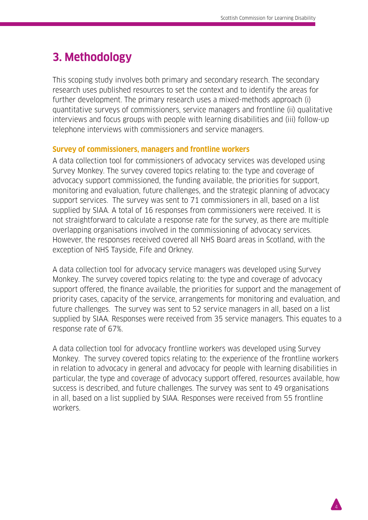# **3. Methodology**

This scoping study involves both primary and secondary research. The secondary research uses published resources to set the context and to identify the areas for further development. The primary research uses a mixed-methods approach (i) quantitative surveys of commissioners, service managers and frontline (ii) qualitative interviews and focus groups with people with learning disabilities and (iii) follow-up telephone interviews with commissioners and service managers.

#### **Survey of commissioners, managers and frontline workers**

A data collection tool for commissioners of advocacy services was developed using Survey Monkey. The survey covered topics relating to: the type and coverage of advocacy support commissioned, the funding available, the priorities for support, monitoring and evaluation, future challenges, and the strategic planning of advocacy support services. The survey was sent to 71 commissioners in all, based on a list supplied by SIAA. A total of 16 responses from commissioners were received. It is not straightforward to calculate a response rate for the survey, as there are multiple overlapping organisations involved in the commissioning of advocacy services. However, the responses received covered all NHS Board areas in Scotland, with the exception of NHS Tayside, Fife and Orkney.

A data collection tool for advocacy service managers was developed using Survey Monkey. The survey covered topics relating to: the type and coverage of advocacy support offered, the finance available, the priorities for support and the management of priority cases, capacity of the service, arrangements for monitoring and evaluation, and future challenges. The survey was sent to 52 service managers in all, based on a list supplied by SIAA. Responses were received from 35 service managers. This equates to a response rate of 67%.

A data collection tool for advocacy frontline workers was developed using Survey Monkey. The survey covered topics relating to: the experience of the frontline workers in relation to advocacy in general and advocacy for people with learning disabilities in particular, the type and coverage of advocacy support offered, resources available, how success is described, and future challenges. The survey was sent to 49 organisations in all, based on a list supplied by SIAA. Responses were received from 55 frontline workers.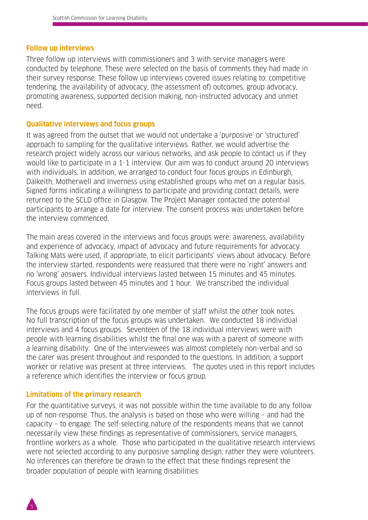#### **Follow up interviews**

Three follow up interviews with commissioners and 3 with service managers were conducted by telephone. These were selected on the basis of comments they had made in their survey response. These follow up interviews covered issues relating to: competitive tendering, the availability of advocacy, (the assessment of) outcomes, group advocacy, promoting awareness, supported decision making, non-instructed advocacy and unmet need.

#### **Qualitative interviews and focus groups**

It was agreed from the outset that we would not undertake a 'purposive' or 'structured' approach to sampling for the qualitative interviews. Rather, we would advertise the research project widely across our various networks, and ask people to contact us if they would like to participate in a 1-1 interview. Our aim was to conduct around 20 interviews with individuals. In addition, we arranged to conduct four focus groups in Edinburgh, Dalkeith, Motherwell and Inverness using established groups who met on a regular basis. Signed forms indicating a willingness to participate and providing contact details, were returned to the SCLD office in Glasgow. The Project Manager contacted the potential participants to arrange a date for interview. The consent process was undertaken before the interview commenced.

The main areas covered in the interviews and focus groups were: awareness, availability and experience of advocacy, impact of advocacy and future requirements for advocacy. Talking Mats were used, if appropriate, to elicit participants' views about advocacy. Before the interview started, respondents were reassured that there were no 'right' answers and no 'wrong' answers. Individual interviews lasted between 15 minutes and 45 minutes. Focus groups lasted between 45 minutes and 1 hour. We transcribed the individual interviews in full.

The focus groups were facilitated by one member of staff whilst the other took notes. No full transcription of the focus groups was undertaken. We conducted 18 individual interviews and 4 focus groups. Seventeen of the 18 individual interviews were with people with learning disabilities whilst the final one was with a parent of someone with a learning disability. One of the interviewees was almost completely non-verbal and so the carer was present throughout and responded to the questions. In addition, a support worker or relative was present at three interviews. The quotes used in this report includes a reference which identifies the interview or focus group.

#### **Limitations of the primary research**

For the quantitative surveys, it was not possible within the time available to do any follow up of non-response. Thus, the analysis is based on those who were willing – and had the capacity – to engage. The self-selecting nature of the respondents means that we cannot necessarily view these findings as representative of commissioners, service managers, frontline workers as a whole. Those who participated in the qualitative research interviews were not selected according to any purposive sampling design; rather they were volunteers. No inferences can therefore be drawn to the effect that these findings represent the broader population of people with learning disabilities.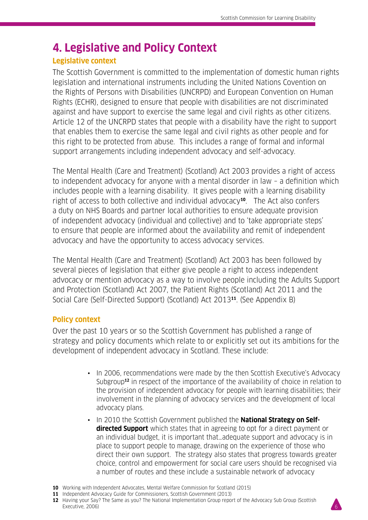# **4. Legislative and Policy Context**

# **Legislative context**

The Scottish Government is committed to the implementation of domestic human rights legislation and international instruments including the United Nations Covention on the Rights of Persons with Disabilities (UNCRPD) and European Convention on Human Rights (ECHR), designed to ensure that people with disabilities are not discriminated against and have support to exercise the same legal and civil rights as other citizens. Article 12 of the UNCRPD states that people with a disability have the right to support that enables them to exercise the same legal and civil rights as other people and for this right to be protected from abuse. This includes a range of formal and informal support arrangements including independent advocacy and self-advocacy.

The Mental Health (Care and Treatment) (Scotland) Act 2003 provides a right of access to independent advocacy for anyone with a mental disorder in law – a definition which includes people with a learning disability. It gives people with a learning disability right of access to both collective and individual advocacy**10**. The Act also confers a duty on NHS Boards and partner local authorities to ensure adequate provision of independent advocacy (individual and collective) and to 'take appropriate steps' to ensure that people are informed about the availability and remit of independent advocacy and have the opportunity to access advocacy services.

The Mental Health (Care and Treatment) (Scotland) Act 2003 has been followed by several pieces of legislation that either give people a right to access independent advocacy or mention advocacy as a way to involve people including the Adults Support and Protection (Scotland) Act 2007, the Patient Rights (Scotland) Act 2011 and the Social Care (Self-Directed Support) (Scotland) Act 2013**11**. (See Appendix B)

# **Policy context**

Over the past 10 years or so the Scottish Government has published a range of strategy and policy documents which relate to or explicitly set out its ambitions for the development of independent advocacy in Scotland. These include:

- In 2006, recommendations were made by the then Scottish Executive's Advocacy Subgroup**12** in respect of the importance of the availability of choice in relation to the provision of independent advocacy for people with learning disabilities; their involvement in the planning of advocacy services and the development of local advocacy plans.
- In 2010 the Scottish Government published the **National Strategy on Selfdirected Support** which states that in agreeing to opt for a direct payment or an individual budget, it is important that…adequate support and advocacy is in place to support people to manage, drawing on the experience of those who direct their own support. The strategy also states that progress towards greater choice, control and empowerment for social care users should be recognised via a number of routes and these include a sustainable network of advocacy

**11** Independent Advocacy Guide for Commissioners, Scottish Government (2013)

**<sup>12</sup>** Having your Say? The Same as you? The National Implementation Group report of the Advocacy Sub Group (Scottish Executive, 2006)



**<sup>10</sup>** Working with Independent Advocates, Mental Welfare Commission for Scotland (2015)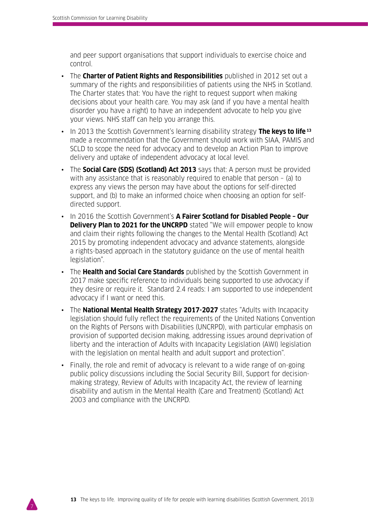and peer support organisations that support individuals to exercise choice and control.

- The **Charter of Patient Rights and Responsibilities** published in 2012 set out a summary of the rights and responsibilities of patients using the NHS in Scotland. The Charter states that: You have the right to request support when making decisions about your health care. You may ask (and if you have a mental health disorder you have a right) to have an independent advocate to help you give your views. NHS staff can help you arrange this.
- In 2013 the Scottish Government's learning disability strategy **The keys to life**<sup>13</sup> made a recommendation that the Government should work with SIAA, PAMIS and SCLD to scope the need for advocacy and to develop an Action Plan to improve delivery and uptake of independent advocacy at local level.
- The **Social Care (SDS) (Scotland) Act 2013** says that: A person must be provided with any assistance that is reasonably required to enable that person – (a) to express any views the person may have about the options for self-directed support, and (b) to make an informed choice when choosing an option for selfdirected support.
- In 2016 the Scottish Government's **A Fairer Scotland for Disabled People Our Delivery Plan to 2021 for the UNCRPD** stated "We will empower people to know and claim their rights following the changes to the Mental Health (Scotland) Act 2015 by promoting independent advocacy and advance statements, alongside a rights-based approach in the statutory guidance on the use of mental health legislation".
- The **Health and Social Care Standards** published by the Scottish Government in 2017 make specific reference to individuals being supported to use advocacy if they desire or require it. Standard 2.4 reads: I am supported to use independent advocacy if I want or need this.
- The **National Mental Health Strategy 2017-2027** states "Adults with Incapacity legislation should fully reflect the requirements of the United Nations Convention on the Rights of Persons with Disabilities (UNCRPD), with particular emphasis on provision of supported decision making, addressing issues around deprivation of liberty and the interaction of Adults with Incapacity Legislation (AWI) legislation with the legislation on mental health and adult support and protection".
- Finally, the role and remit of advocacy is relevant to a wide range of on-going public policy discussions including the Social Security Bill, Support for decisionmaking strategy, Review of Adults with Incapacity Act, the review of learning disability and autism in the Mental Health (Care and Treatment) (Scotland) Act 2003 and compliance with the UNCRPD.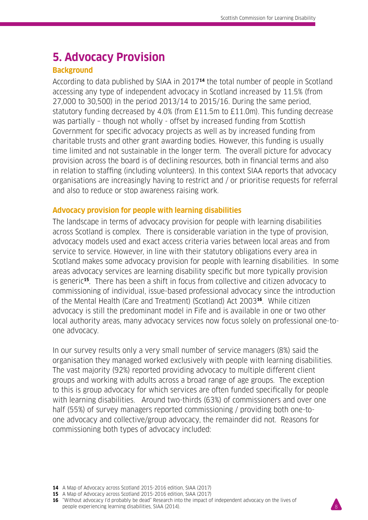# **5. Advocacy Provision**

# **Background**

According to data published by SIAA in 2017**14** the total number of people in Scotland accessing any type of independent advocacy in Scotland increased by 11.5% (from 27,000 to 30,500) in the period 2013/14 to 2015/16. During the same period, statutory funding decreased by 4.0% (from £11.5m to £11.0m). This funding decrease was partially – though not wholly - offset by increased funding from Scottish Government for specific advocacy projects as well as by increased funding from charitable trusts and other grant awarding bodies. However, this funding is usually time limited and not sustainable in the longer term. The overall picture for advocacy provision across the board is of declining resources, both in financial terms and also in relation to staffing (including volunteers). In this context SIAA reports that advocacy organisations are increasingly having to restrict and / or prioritise requests for referral and also to reduce or stop awareness raising work.

# **Advocacy provision for people with learning disabilities**

The landscape in terms of advocacy provision for people with learning disabilities across Scotland is complex. There is considerable variation in the type of provision, advocacy models used and exact access criteria varies between local areas and from service to service. However, in line with their statutory obligations every area in Scotland makes some advocacy provision for people with learning disabilities. In some areas advocacy services are learning disability specific but more typically provision is generic**15**. There has been a shift in focus from collective and citizen advocacy to commissioning of individual, issue-based professional advocacy since the introduction of the Mental Health (Care and Treatment) (Scotland) Act 2003**16**. While citizen advocacy is still the predominant model in Fife and is available in one or two other local authority areas, many advocacy services now focus solely on professional one-toone advocacy.

In our survey results only a very small number of service managers (8%) said the organisation they managed worked exclusively with people with learning disabilities. The vast majority (92%) reported providing advocacy to multiple different client groups and working with adults across a broad range of age groups. The exception to this is group advocacy for which services are often funded specifically for people with learning disabilities. Around two-thirds (63%) of commissioners and over one half (55%) of survey managers reported commissioning / providing both one-toone advocacy and collective/group advocacy, the remainder did not. Reasons for commissioning both types of advocacy included:

**15** A Map of Advocacy across Scotland 2015-2016 edition, SIAA (2017)

**<sup>14</sup>** A Map of Advocacy across Scotland 2015-2016 edition, SIAA (2017)

**<sup>16</sup>** "Without advocacy I'd probably be dead" Research into the impact of independent advocacy on the lives of people experiencing learning disabilities, SIAA (2014).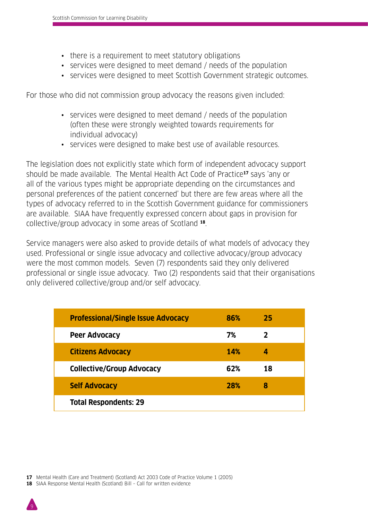- there is a requirement to meet statutory obligations
- services were designed to meet demand / needs of the population
- services were designed to meet Scottish Government strategic outcomes.

For those who did not commission group advocacy the reasons given included:

- services were designed to meet demand / needs of the population (often these were strongly weighted towards requirements for individual advocacy)
- services were designed to make best use of available resources.

The legislation does not explicitly state which form of independent advocacy support should be made available. The Mental Health Act Code of Practice**17** says 'any or all of the various types might be appropriate depending on the circumstances and personal preferences of the patient concerned' but there are few areas where all the types of advocacy referred to in the Scottish Government guidance for commissioners are available. SIAA have frequently expressed concern about gaps in provision for collective/group advocacy in some areas of Scotland **18**.

Service managers were also asked to provide details of what models of advocacy they used. Professional or single issue advocacy and collective advocacy/group advocacy were the most common models. Seven (7) respondents said they only delivered professional or single issue advocacy. Two (2) respondents said that their organisations only delivered collective/group and/or self advocacy.

| <b>Professional/Single Issue Advocacy</b> | 86%        | 25 |
|-------------------------------------------|------------|----|
| Peer Advocacy                             | 7%         | 2  |
| <b>Citizens Advocacy</b>                  | <b>14%</b> | 4  |
| <b>Collective/Group Advocacy</b>          | 62%        | 18 |
| <b>Self Advocacy</b>                      | 28%        | 8  |
| <b>Total Respondents: 29</b>              |            |    |

**17** Mental Health (Care and Treatment) (Scotland) Act 2003 Code of Practice Volume 1 (2005)

**18** SIAA Response Mental Health (Scotland) Bill – Call for written evidence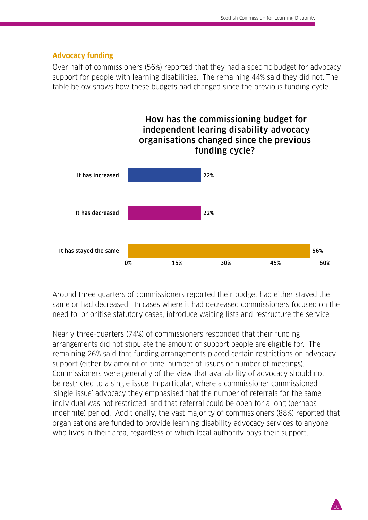#### **Advocacy funding**

Over half of commissioners (56%) reported that they had a specific budget for advocacy support for people with learning disabilities. The remaining 44% said they did not. The table below shows how these budgets had changed since the previous funding cycle.



Around three quarters of commissioners reported their budget had either stayed the same or had decreased. In cases where it had decreased commissioners focused on the need to: prioritise statutory cases, introduce waiting lists and restructure the service.

Nearly three-quarters (74%) of commissioners responded that their funding arrangements did not stipulate the amount of support people are eligible for. The remaining 26% said that funding arrangements placed certain restrictions on advocacy support (either by amount of time, number of issues or number of meetings). Commissioners were generally of the view that availability of advocacy should not be restricted to a single issue. In particular, where a commissioner commissioned 'single issue' advocacy they emphasised that the number of referrals for the same individual was not restricted, and that referral could be open for a long (perhaps indefinite) period. Additionally, the vast majority of commissioners (88%) reported that organisations are funded to provide learning disability advocacy services to anyone who lives in their area, regardless of which local authority pays their support.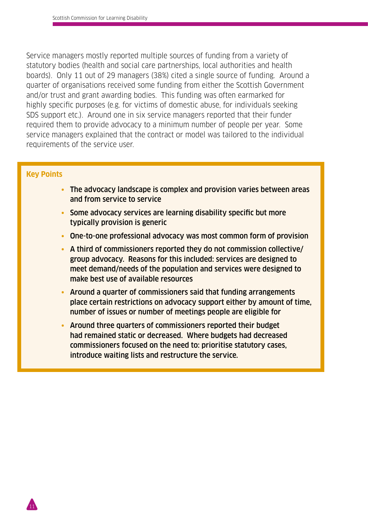Service managers mostly reported multiple sources of funding from a variety of statutory bodies (health and social care partnerships, local authorities and health boards). Only 11 out of 29 managers (38%) cited a single source of funding. Around a quarter of organisations received some funding from either the Scottish Government and/or trust and grant awarding bodies. This funding was often earmarked for highly specific purposes (e.g. for victims of domestic abuse, for individuals seeking SDS support etc.). Around one in six service managers reported that their funder required them to provide advocacy to a minimum number of people per year. Some service managers explained that the contract or model was tailored to the individual requirements of the service user.

#### **Key Points**

- The advocacy landscape is complex and provision varies between areas and from service to service
- Some advocacy services are learning disability specific but more typically provision is generic
- One-to-one professional advocacy was most common form of provision
- A third of commissioners reported they do not commission collective/ group advocacy. Reasons for this included: services are designed to meet demand/needs of the population and services were designed to make best use of available resources
- Around a quarter of commissioners said that funding arrangements place certain restrictions on advocacy support either by amount of time, number of issues or number of meetings people are eligible for
- Around three quarters of commissioners reported their budget had remained static or decreased. Where budgets had decreased commissioners focused on the need to: prioritise statutory cases, introduce waiting lists and restructure the service.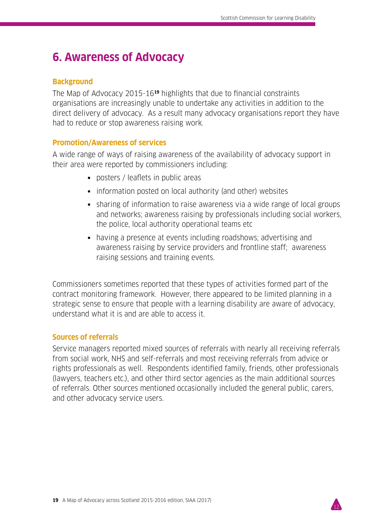12

# **6. Awareness of Advocacy**

#### **Background**

The Map of Advocacy 2015-16**19** highlights that due to financial constraints organisations are increasingly unable to undertake any activities in addition to the direct delivery of advocacy. As a result many advocacy organisations report they have had to reduce or stop awareness raising work.

#### **Promotion/Awareness of services**

A wide range of ways of raising awareness of the availability of advocacy support in their area were reported by commissioners including:

- **•** posters / leaflets in public areas
- **•** information posted on local authority (and other) websites
- **•** sharing of information to raise awareness via a wide range of local groups and networks; awareness raising by professionals including social workers, the police, local authority operational teams etc
- **•** having a presence at events including roadshows; advertising and awareness raising by service providers and frontline staff; awareness raising sessions and training events.

Commissioners sometimes reported that these types of activities formed part of the contract monitoring framework. However, there appeared to be limited planning in a strategic sense to ensure that people with a learning disability are aware of advocacy, understand what it is and are able to access it.

#### **Sources of referrals**

Service managers reported mixed sources of referrals with nearly all receiving referrals from social work, NHS and self-referrals and most receiving referrals from advice or rights professionals as well. Respondents identified family, friends, other professionals (lawyers, teachers etc.), and other third sector agencies as the main additional sources of referrals. Other sources mentioned occasionally included the general public, carers, and other advocacy service users.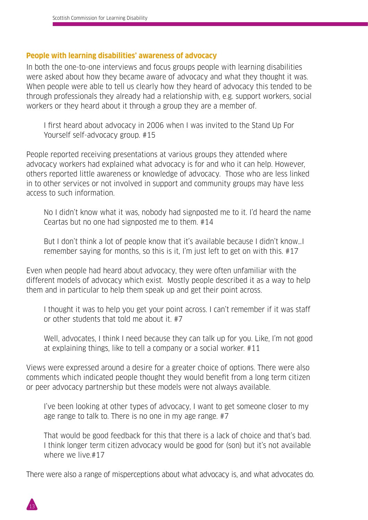#### **People with learning disabilities' awareness of advocacy**

In both the one-to-one interviews and focus groups people with learning disabilities were asked about how they became aware of advocacy and what they thought it was. When people were able to tell us clearly how they heard of advocacy this tended to be through professionals they already had a relationship with, e.g. support workers, social workers or they heard about it through a group they are a member of.

I first heard about advocacy in 2006 when I was invited to the Stand Up For Yourself self-advocacy group. #15

People reported receiving presentations at various groups they attended where advocacy workers had explained what advocacy is for and who it can help. However, others reported little awareness or knowledge of advocacy. Those who are less linked in to other services or not involved in support and community groups may have less access to such information.

No I didn't know what it was, nobody had signposted me to it. I'd heard the name Ceartas but no one had signposted me to them. #14

But I don't think a lot of people know that it's available because I didn't know…I remember saying for months, so this is it, I'm just left to get on with this. #17

Even when people had heard about advocacy, they were often unfamiliar with the different models of advocacy which exist. Mostly people described it as a way to help them and in particular to help them speak up and get their point across.

I thought it was to help you get your point across. I can't remember if it was staff or other students that told me about it. #7

Well, advocates, I think I need because they can talk up for you. Like, I'm not good at explaining things, like to tell a company or a social worker. #11

Views were expressed around a desire for a greater choice of options. There were also comments which indicated people thought they would benefit from a long term citizen or peer advocacy partnership but these models were not always available.

I've been looking at other types of advocacy, I want to get someone closer to my age range to talk to. There is no one in my age range. #7

That would be good feedback for this that there is a lack of choice and that's bad. I think longer term citizen advocacy would be good for (son) but it's not available where we live #17

There were also a range of misperceptions about what advocacy is, and what advocates do.

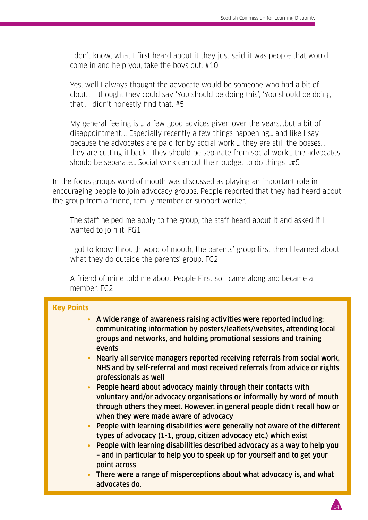I don't know, what I first heard about it they just said it was people that would come in and help you, take the boys out. #10

Yes, well I always thought the advocate would be someone who had a bit of clout…. I thought they could say 'You should be doing this', 'You should be doing that'. I didn't honestly find that. #5

My general feeling is … a few good advices given over the years...but a bit of disappointment…. Especially recently a few things happening… and like I say because the advocates are paid for by social work … they are still the bosses… they are cutting it back… they should be separate from social work… the advocates should be separate… Social work can cut their budget to do things …#5

In the focus groups word of mouth was discussed as playing an important role in encouraging people to join advocacy groups. People reported that they had heard about the group from a friend, family member or support worker.

The staff helped me apply to the group, the staff heard about it and asked if I wanted to join it. FG1

I got to know through word of mouth, the parents' group first then I learned about what they do outside the parents' group. FG2

A friend of mine told me about People First so I came along and became a member. FG2

| <b>Key Points</b> |                                                                                                                                                                                                                                                                |
|-------------------|----------------------------------------------------------------------------------------------------------------------------------------------------------------------------------------------------------------------------------------------------------------|
|                   | • A wide range of awareness raising activities were reported including:<br>communicating information by posters/leaflets/websites, attending local<br>groups and networks, and holding promotional sessions and training<br>events                             |
|                   | Nearly all service managers reported receiving referrals from social work,<br>NHS and by self-referral and most received referrals from advice or rights<br>professionals as well                                                                              |
|                   | People heard about advocacy mainly through their contacts with<br>voluntary and/or advocacy organisations or informally by word of mouth<br>through others they meet. However, in general people didn't recall how or<br>when they were made aware of advocacy |
|                   | People with learning disabilities were generally not aware of the different<br>types of advocacy (1-1, group, citizen advocacy etc.) which exist                                                                                                               |
|                   | • People with learning disabilities described advocacy as a way to help you<br>- and in particular to help you to speak up for yourself and to get your<br>point across                                                                                        |
|                   | There were a range of misperceptions about what advocacy is, and what<br>advocates do.                                                                                                                                                                         |

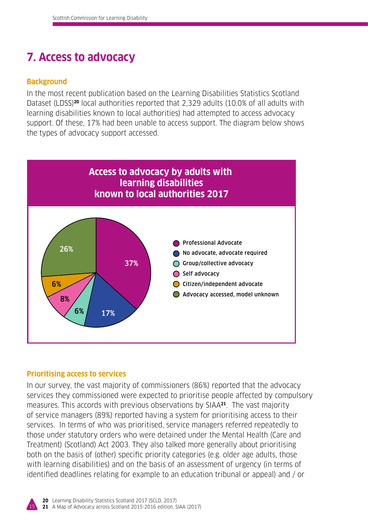# **7. Access to advocacy**

# **Background**

In the most recent publication based on the Learning Disabilities Statistics Scotland Dataset (LDSS)**20** local authorities reported that 2,329 adults (10.0% of all adults with learning disabilities known to local authorities) had attempted to access advocacy support. Of these, 17% had been unable to access support. The diagram below shows the types of advocacy support accessed.



# **Prioritising access to services**

In our survey, the vast majority of commissioners (86%) reported that the advocacy services they commissioned were expected to prioritise people affected by compulsory measures. This accords with previous observations by SIAA**21**. The vast majority of service managers (89%) reported having a system for prioritising access to their services. In terms of who was prioritised, service managers referred repeatedly to those under statutory orders who were detained under the Mental Health (Care and Treatment) (Scotland) Act 2003. They also talked more generally about prioritising both on the basis of (other) specific priority categories (e.g. older age adults, those with learning disabilities) and on the basis of an assessment of urgency (in terms of identified deadlines relating for example to an education tribunal or appeal) and / or

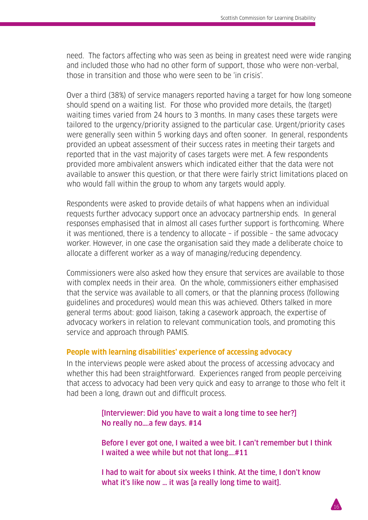need. The factors affecting who was seen as being in greatest need were wide ranging and included those who had no other form of support, those who were non-verbal, those in transition and those who were seen to be 'in crisis'.

Over a third (38%) of service managers reported having a target for how long someone should spend on a waiting list. For those who provided more details, the (target) waiting times varied from 24 hours to 3 months. In many cases these targets were tailored to the urgency/priority assigned to the particular case. Urgent/priority cases were generally seen within 5 working days and often sooner. In general, respondents provided an upbeat assessment of their success rates in meeting their targets and reported that in the vast majority of cases targets were met. A few respondents provided more ambivalent answers which indicated either that the data were not available to answer this question, or that there were fairly strict limitations placed on who would fall within the group to whom any targets would apply.

Respondents were asked to provide details of what happens when an individual requests further advocacy support once an advocacy partnership ends. In general responses emphasised that in almost all cases further support is forthcoming. Where it was mentioned, there is a tendency to allocate – if possible – the same advocacy worker. However, in one case the organisation said they made a deliberate choice to allocate a different worker as a way of managing/reducing dependency.

Commissioners were also asked how they ensure that services are available to those with complex needs in their area. On the whole, commissioners either emphasised that the service was available to all comers, or that the planning process (following guidelines and procedures) would mean this was achieved. Others talked in more general terms about: good liaison, taking a casework approach, the expertise of advocacy workers in relation to relevant communication tools, and promoting this service and approach through PAMIS.

#### **People with learning disabilities' experience of accessing advocacy**

In the interviews people were asked about the process of accessing advocacy and whether this had been straightforward. Experiences ranged from people perceiving that access to advocacy had been very quick and easy to arrange to those who felt it had been a long, drawn out and difficult process.

> [Interviewer: Did you have to wait a long time to see her?] No really no….a few days. #14

Before I ever got one, I waited a wee bit. I can't remember but I think I waited a wee while but not that long….#11

I had to wait for about six weeks I think. At the time, I don't know what it's like now … it was [a really long time to wait].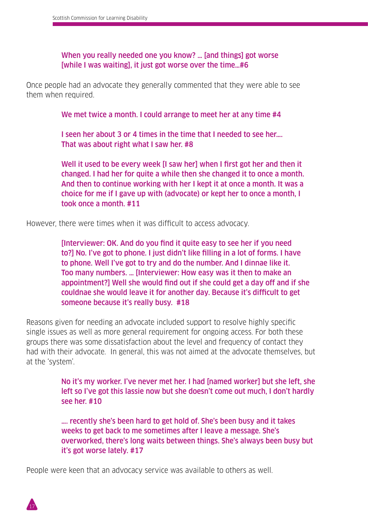When you really needed one you know? … [and things] got worse [while I was waiting], it just got worse over the time…#6

Once people had an advocate they generally commented that they were able to see them when required.

We met twice a month. I could arrange to meet her at any time #4

I seen her about 3 or 4 times in the time that I needed to see her…. That was about right what I saw her. #8

Well it used to be every week [I saw her] when I first got her and then it changed. I had her for quite a while then she changed it to once a month. And then to continue working with her I kept it at once a month. It was a choice for me if I gave up with (advocate) or kept her to once a month, I took once a month. #11

However, there were times when it was difficult to access advocacy.

[Interviewer: OK. And do you find it quite easy to see her if you need to?] No. I've got to phone. I just didn't like filling in a lot of forms. I have to phone. Well I've got to try and do the number. And I dinnae like it. Too many numbers. … [Interviewer: How easy was it then to make an appointment?] Well she would find out if she could get a day off and if she couldnae she would leave it for another day. Because it's difficult to get someone because it's really busy. #18

Reasons given for needing an advocate included support to resolve highly specific single issues as well as more general requirement for ongoing access. For both these groups there was some dissatisfaction about the level and frequency of contact they had with their advocate. In general, this was not aimed at the advocate themselves, but at the 'system'.

> No it's my worker. I've never met her. I had [named worker] but she left, she left so I've got this lassie now but she doesn't come out much, I don't hardly see her. #10

> …. recently she's been hard to get hold of. She's been busy and it takes weeks to get back to me sometimes after I leave a message. She's overworked, there's long waits between things. She's always been busy but it's got worse lately. #17

People were keen that an advocacy service was available to others as well.

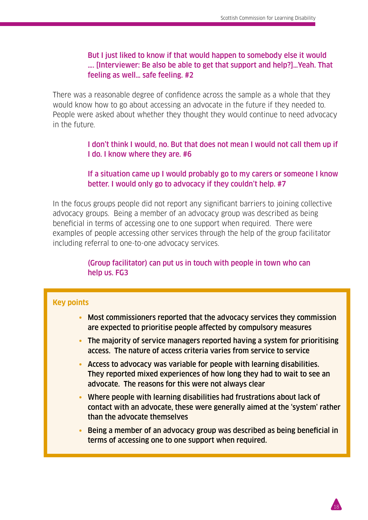# But I just liked to know if that would happen to somebody else it would …. [Interviewer: Be also be able to get that support and help?]…Yeah. That feeling as well… safe feeling. #2

There was a reasonable degree of confidence across the sample as a whole that they would know how to go about accessing an advocate in the future if they needed to. People were asked about whether they thought they would continue to need advocacy in the future.

> I don't think I would, no. But that does not mean I would not call them up if I do. I know where they are. #6

# If a situation came up I would probably go to my carers or someone I know better. I would only go to advocacy if they couldn't help. #7

In the focus groups people did not report any significant barriers to joining collective advocacy groups. Being a member of an advocacy group was described as being beneficial in terms of accessing one to one support when required. There were examples of people accessing other services through the help of the group facilitator including referral to one-to-one advocacy services.

# (Group facilitator) can put us in touch with people in town who can help us. FG3

# **Key points**

- Most commissioners reported that the advocacy services they commission are expected to prioritise people affected by compulsory measures
- The majority of service managers reported having a system for prioritising access. The nature of access criteria varies from service to service
- Access to advocacy was variable for people with learning disabilities. They reported mixed experiences of how long they had to wait to see an advocate. The reasons for this were not always clear
- Where people with learning disabilities had frustrations about lack of contact with an advocate, these were generally aimed at the 'system' rather than the advocate themselves
- Being a member of an advocacy group was described as being beneficial in terms of accessing one to one support when required.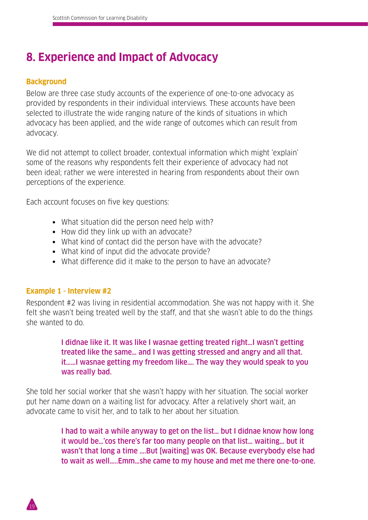# **8. Experience and Impact of Advocacy**

# **Background**

Below are three case study accounts of the experience of one-to-one advocacy as provided by respondents in their individual interviews. These accounts have been selected to illustrate the wide ranging nature of the kinds of situations in which advocacy has been applied, and the wide range of outcomes which can result from advocacy.

We did not attempt to collect broader, contextual information which might 'explain' some of the reasons why respondents felt their experience of advocacy had not been ideal; rather we were interested in hearing from respondents about their own perceptions of the experience.

Each account focuses on five key questions:

- **•** What situation did the person need help with?
- **•** How did they link up with an advocate?
- **•** What kind of contact did the person have with the advocate?
- **•** What kind of input did the advocate provide?
- **•** What difference did it make to the person to have an advocate?

# **Example 1 - Interview #2**

19

Respondent #2 was living in residential accommodation. She was not happy with it. She felt she wasn't being treated well by the staff, and that she wasn't able to do the things she wanted to do.

# I didnae like it. It was like I wasnae getting treated right…I wasn't getting treated like the same… and I was getting stressed and angry and all that. it……I wasnae getting my freedom like…. The way they would speak to you was really bad.

She told her social worker that she wasn't happy with her situation. The social worker put her name down on a waiting list for advocacy. After a relatively short wait, an advocate came to visit her, and to talk to her about her situation.

> I had to wait a while anyway to get on the list… but I didnae know how long it would be…'cos there's far too many people on that list… waiting… but it wasn't that long a time ….But [waiting] was OK. Because everybody else had to wait as well…..Emm…she came to my house and met me there one-to-one.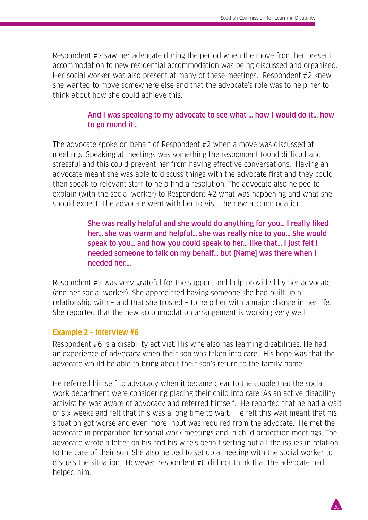Respondent #2 saw her advocate during the period when the move from her present accommodation to new residential accommodation was being discussed and organised. Her social worker was also present at many of these meetings. Respondent #2 knew she wanted to move somewhere else and that the advocate's role was to help her to think about how she could achieve this.

# And I was speaking to my advocate to see what … how I would do it… how to go round it…

The advocate spoke on behalf of Respondent #2 when a move was discussed at meetings. Speaking at meetings was something the respondent found difficult and stressful and this could prevent her from having effective conversations. Having an advocate meant she was able to discuss things with the advocate first and they could then speak to relevant staff to help find a resolution. The advocate also helped to explain (with the social worker) to Respondent #2 what was happening and what she should expect. The advocate went with her to visit the new accommodation.

> She was really helpful and she would do anything for you… I really liked her… she was warm and helpful… she was really nice to you… She would speak to you… and how you could speak to her… like that… I just felt I needed someone to talk on my behalf… but [Name] was there when I needed her….

Respondent #2 was very grateful for the support and help provided by her advocate (and her social worker). She appreciated having someone she had built up a relationship with – and that she trusted – to help her with a major change in her life. She reported that the new accommodation arrangement is working very well.

#### **Example 2 – Interview #6**

Respondent #6 is a disability activist. His wife also has learning disabilities. He had an experience of advocacy when their son was taken into care. His hope was that the advocate would be able to bring about their son's return to the family home.

He referred himself to advocacy when it became clear to the couple that the social work department were considering placing their child into care. As an active disability activist he was aware of advocacy and referred himself. He reported that he had a wait of six weeks and felt that this was a long time to wait. He felt this wait meant that his situation got worse and even more input was required from the advocate. He met the advocate in preparation for social work meetings and in child protection meetings. The advocate wrote a letter on his and his wife's behalf setting out all the issues in relation to the care of their son. She also helped to set up a meeting with the social worker to discuss the situation. However, respondent #6 did not think that the advocate had helped him: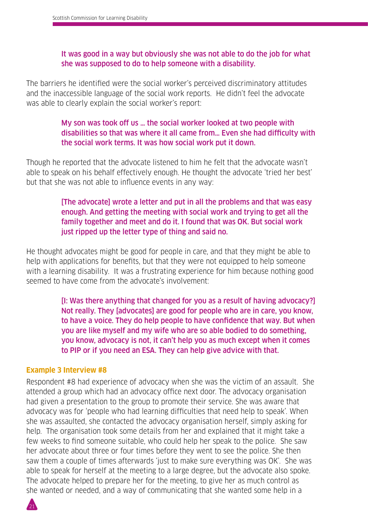# It was good in a way but obviously she was not able to do the job for what she was supposed to do to help someone with a disability.

The barriers he identified were the social worker's perceived discriminatory attitudes and the inaccessible language of the social work reports. He didn't feel the advocate was able to clearly explain the social worker's report:

# My son was took off us … the social worker looked at two people with disabilities so that was where it all came from… Even she had difficulty with the social work terms. It was how social work put it down.

Though he reported that the advocate listened to him he felt that the advocate wasn't able to speak on his behalf effectively enough. He thought the advocate 'tried her best' but that she was not able to influence events in any way:

# [The advocate] wrote a letter and put in all the problems and that was easy enough. And getting the meeting with social work and trying to get all the family together and meet and do it. I found that was OK. But social work just ripped up the letter type of thing and said no.

He thought advocates might be good for people in care, and that they might be able to help with applications for benefits, but that they were not equipped to help someone with a learning disability. It was a frustrating experience for him because nothing good seemed to have come from the advocate's involvement:

> [I: Was there anything that changed for you as a result of having advocacy?] Not really. They [advocates] are good for people who are in care, you know, to have a voice. They do help people to have confidence that way. But when you are like myself and my wife who are so able bodied to do something, you know, advocacy is not, it can't help you as much except when it comes to PIP or if you need an ESA. They can help give advice with that.

# **Example 3 Interview #8**

Respondent #8 had experience of advocacy when she was the victim of an assault. She attended a group which had an advocacy office next door. The advocacy organisation had given a presentation to the group to promote their service. She was aware that advocacy was for 'people who had learning difficulties that need help to speak'. When she was assaulted, she contacted the advocacy organisation herself, simply asking for help. The organisation took some details from her and explained that it might take a few weeks to find someone suitable, who could help her speak to the police. She saw her advocate about three or four times before they went to see the police. She then saw them a couple of times afterwards 'just to make sure everything was OK'. She was able to speak for herself at the meeting to a large degree, but the advocate also spoke. The advocate helped to prepare her for the meeting, to give her as much control as she wanted or needed, and a way of communicating that she wanted some help in a

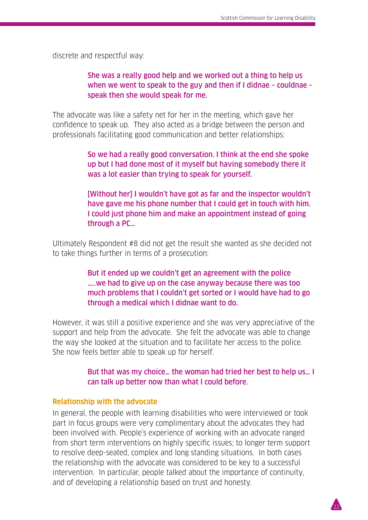discrete and respectful way:

# She was a really good help and we worked out a thing to help us when we went to speak to the guy and then if I didnae – couldnae – speak then she would speak for me.

The advocate was like a safety net for her in the meeting, which gave her confidence to speak up. They also acted as a bridge between the person and professionals facilitating good communication and better relationships:

> So we had a really good conversation. I think at the end she spoke up but I had done most of it myself but having somebody there it was a lot easier than trying to speak for yourself.

> [Without her] I wouldn't have got as far and the inspector wouldn't have gave me his phone number that I could get in touch with him. I could just phone him and make an appointment instead of going through a PC…

Ultimately Respondent #8 did not get the result she wanted as she decided not to take things further in terms of a prosecution:

# But it ended up we couldn't get an agreement with the police …..we had to give up on the case anyway because there was too much problems that I couldn't get sorted or I would have had to go through a medical which I didnae want to do.

However, it was still a positive experience and she was very appreciative of the support and help from the advocate. She felt the advocate was able to change the way she looked at the situation and to facilitate her access to the police. She now feels better able to speak up for herself.

> But that was my choice… the woman had tried her best to help us… I can talk up better now than what I could before.

> > 22

#### **Relationship with the advocate**

In general, the people with learning disabilities who were interviewed or took part in focus groups were very complimentary about the advocates they had been involved with. People's experience of working with an advocate ranged from short term interventions on highly specific issues; to longer term support to resolve deep-seated, complex and long standing situations. In both cases the relationship with the advocate was considered to be key to a successful intervention. In particular, people talked about the importance of continuity, and of developing a relationship based on trust and honesty.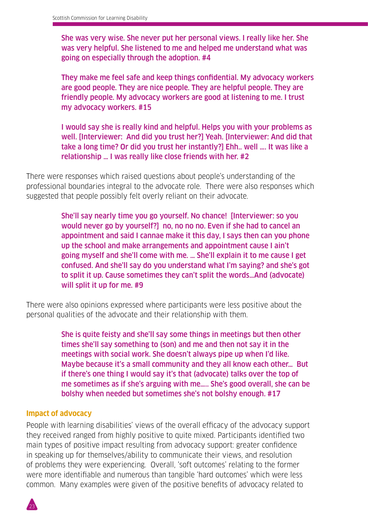She was very wise. She never put her personal views. I really like her. She was very helpful. She listened to me and helped me understand what was going on especially through the adoption. #4

They make me feel safe and keep things confidential. My advocacy workers are good people. They are nice people. They are helpful people. They are friendly people. My advocacy workers are good at listening to me. I trust my advocacy workers. #15

I would say she is really kind and helpful. Helps you with your problems as well. [Interviewer: And did you trust her?] Yeah. [Interviewer: And did that take a long time? Or did you trust her instantly?] Ehh.. well …. It was like a relationship … I was really like close friends with her. #2

There were responses which raised questions about people's understanding of the professional boundaries integral to the advocate role. There were also responses which suggested that people possibly felt overly reliant on their advocate.

> She'll say nearly time you go yourself. No chance! [Interviewer: so you would never go by yourself?] no, no no no. Even if she had to cancel an appointment and said I cannae make it this day, I says then can you phone up the school and make arrangements and appointment cause I ain't going myself and she'll come with me. … She'll explain it to me cause I get confused. And she'll say do you understand what I'm saying? and she's got to split it up. Cause sometimes they can't split the words…And (advocate) will split it up for me. #9

There were also opinions expressed where participants were less positive about the personal qualities of the advocate and their relationship with them.

> She is quite feisty and she'll say some things in meetings but then other times she'll say something to (son) and me and then not say it in the meetings with social work. She doesn't always pipe up when I'd like. Maybe because it's a small community and they all know each other… But if there's one thing I would say it's that (advocate) talks over the top of me sometimes as if she's arguing with me….. She's good overall, she can be bolshy when needed but sometimes she's not bolshy enough. #17

# **Impact of advocacy**

People with learning disabilities' views of the overall efficacy of the advocacy support they received ranged from highly positive to quite mixed. Participants identified two main types of positive impact resulting from advocacy support: greater confidence in speaking up for themselves/ability to communicate their views, and resolution of problems they were experiencing. Overall, 'soft outcomes' relating to the former were more identifiable and numerous than tangible 'hard outcomes' which were less common. Many examples were given of the positive benefits of advocacy related to

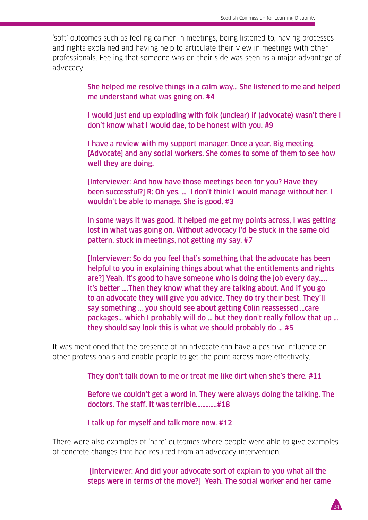'soft' outcomes such as feeling calmer in meetings, being listened to, having processes and rights explained and having help to articulate their view in meetings with other professionals. Feeling that someone was on their side was seen as a major advantage of advocacy.

> She helped me resolve things in a calm way… She listened to me and helped me understand what was going on. #4

> I would just end up exploding with folk (unclear) if (advocate) wasn't there I don't know what I would dae, to be honest with you. #9

I have a review with my support manager. Once a year. Big meeting. [Advocate] and any social workers. She comes to some of them to see how well they are doing.

[Interviewer: And how have those meetings been for you? Have they been successful?] R: Oh yes. … I don't think I would manage without her. I wouldn't be able to manage. She is good. #3

In some ways it was good, it helped me get my points across, I was getting lost in what was going on. Without advocacy I'd be stuck in the same old pattern, stuck in meetings, not getting my say. #7

[Interviewer: So do you feel that's something that the advocate has been helpful to you in explaining things about what the entitlements and rights are?] Yeah. It's good to have someone who is doing the job every day….. it's better ….Then they know what they are talking about. And if you go to an advocate they will give you advice. They do try their best. They'll say something … you should see about getting Colin reassessed …care packages… which I probably will do … but they don't really follow that up … they should say look this is what we should probably do … #5

It was mentioned that the presence of an advocate can have a positive influence on other professionals and enable people to get the point across more effectively.

They don't talk down to me or treat me like dirt when she's there. #11

Before we couldn't get a word in. They were always doing the talking. The doctors. The staff. It was terrible………….#18

I talk up for myself and talk more now. #12

There were also examples of 'hard' outcomes where people were able to give examples of concrete changes that had resulted from an advocacy intervention.

> [Interviewer: And did your advocate sort of explain to you what all the steps were in terms of the move?] Yeah. The social worker and her came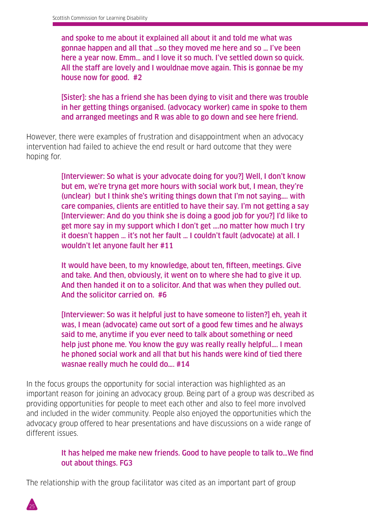and spoke to me about it explained all about it and told me what was gonnae happen and all that …so they moved me here and so … I've been here a year now. Emm… and I love it so much. I've settled down so quick. All the staff are lovely and I wouldnae move again. This is gonnae be my house now for good. #2

[Sister]: she has a friend she has been dying to visit and there was trouble in her getting things organised. (advocacy worker) came in spoke to them and arranged meetings and R was able to go down and see here friend.

However, there were examples of frustration and disappointment when an advocacy intervention had failed to achieve the end result or hard outcome that they were hoping for.

> [Interviewer: So what is your advocate doing for you?] Well, I don't know but em, we're tryna get more hours with social work but, I mean, they're (unclear) but I think she's writing things down that I'm not saying…. with care companies, clients are entitled to have their say. I'm not getting a say [Interviewer: And do you think she is doing a good job for you?] I'd like to get more say in my support which I don't get ….no matter how much I try it doesn't happen … it's not her fault … I couldn't fault (advocate) at all. I wouldn't let anyone fault her #11

It would have been, to my knowledge, about ten, fifteen, meetings. Give and take. And then, obviously, it went on to where she had to give it up. And then handed it on to a solicitor. And that was when they pulled out. And the solicitor carried on. #6

[Interviewer: So was it helpful just to have someone to listen?] eh, yeah it was, I mean (advocate) came out sort of a good few times and he always said to me, anytime if you ever need to talk about something or need help just phone me. You know the guy was really really helpful.... I mean he phoned social work and all that but his hands were kind of tied there wasnae really much he could do…. #14

In the focus groups the opportunity for social interaction was highlighted as an important reason for joining an advocacy group. Being part of a group was described as providing opportunities for people to meet each other and also to feel more involved and included in the wider community. People also enjoyed the opportunities which the advocacy group offered to hear presentations and have discussions on a wide range of different issues.

# It has helped me make new friends. Good to have people to talk to…We find out about things. FG3

The relationship with the group facilitator was cited as an important part of group

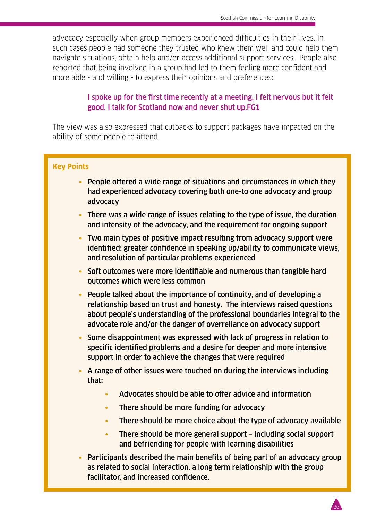advocacy especially when group members experienced difficulties in their lives. In such cases people had someone they trusted who knew them well and could help them navigate situations, obtain help and/or access additional support services. People also reported that being involved in a group had led to them feeling more confident and more able - and willing - to express their opinions and preferences:

# I spoke up for the first time recently at a meeting, I felt nervous but it felt good. I talk for Scotland now and never shut up.FG1

The view was also expressed that cutbacks to support packages have impacted on the ability of some people to attend.

| <b>Key Points</b>                                                                                                                                                                                                                                                                                       |
|---------------------------------------------------------------------------------------------------------------------------------------------------------------------------------------------------------------------------------------------------------------------------------------------------------|
| People offered a wide range of situations and circumstances in which they<br>had experienced advocacy covering both one-to one advocacy and group<br>advocacy                                                                                                                                           |
| There was a wide range of issues relating to the type of issue, the duration<br>and intensity of the advocacy, and the requirement for ongoing support                                                                                                                                                  |
| Two main types of positive impact resulting from advocacy support were<br>identified: greater confidence in speaking up/ability to communicate views,<br>and resolution of particular problems experienced                                                                                              |
| Soft outcomes were more identifiable and numerous than tangible hard<br>outcomes which were less common                                                                                                                                                                                                 |
| People talked about the importance of continuity, and of developing a<br>relationship based on trust and honesty. The interviews raised questions<br>about people's understanding of the professional boundaries integral to the<br>advocate role and/or the danger of overreliance on advocacy support |
| Some disappointment was expressed with lack of progress in relation to<br>specific identified problems and a desire for deeper and more intensive<br>support in order to achieve the changes that were required                                                                                         |
| A range of other issues were touched on during the interviews including<br>that:                                                                                                                                                                                                                        |
| Advocates should be able to offer advice and information<br>$\bullet$                                                                                                                                                                                                                                   |
| There should be more funding for advocacy<br>$\bullet$                                                                                                                                                                                                                                                  |
| There should be more choice about the type of advocacy available<br>$\bullet$                                                                                                                                                                                                                           |
| There should be more general support - including social support<br>and befriending for people with learning disabilities                                                                                                                                                                                |
| Participants described the main benefits of being part of an advocacy group<br>as related to social interaction, a long term relationship with the group<br>facilitator, and increased confidence.                                                                                                      |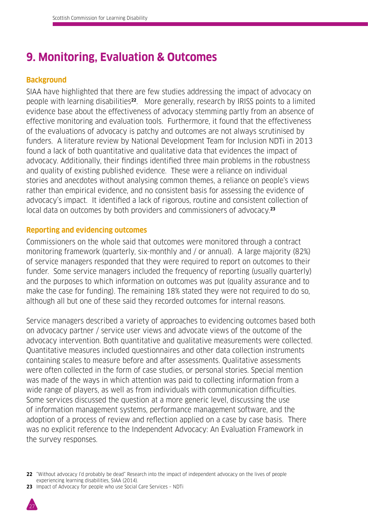# **9. Monitoring, Evaluation & Outcomes**

# **Background**

SIAA have highlighted that there are few studies addressing the impact of advocacy on people with learning disabilities**22**. More generally, research by IRISS points to a limited evidence base about the effectiveness of advocacy stemming partly from an absence of effective monitoring and evaluation tools. Furthermore, it found that the effectiveness of the evaluations of advocacy is patchy and outcomes are not always scrutinised by funders. A literature review by National Development Team for Inclusion NDTi in 2013 found a lack of both quantitative and qualitative data that evidences the impact of advocacy. Additionally, their findings identified three main problems in the robustness and quality of existing published evidence. These were a reliance on individual stories and anecdotes without analysing common themes, a reliance on people's views rather than empirical evidence, and no consistent basis for assessing the evidence of advocacy's impact. It identified a lack of rigorous, routine and consistent collection of local data on outcomes by both providers and commissioners of advocacy.**<sup>23</sup>**

# **Reporting and evidencing outcomes**

Commissioners on the whole said that outcomes were monitored through a contract monitoring framework (quarterly, six-monthly and / or annual). A large majority (82%) of service managers responded that they were required to report on outcomes to their funder. Some service managers included the frequency of reporting (usually quarterly) and the purposes to which information on outcomes was put (quality assurance and to make the case for funding). The remaining 18% stated they were not required to do so, although all but one of these said they recorded outcomes for internal reasons.

Service managers described a variety of approaches to evidencing outcomes based both on advocacy partner / service user views and advocate views of the outcome of the advocacy intervention. Both quantitative and qualitative measurements were collected. Quantitative measures included questionnaires and other data collection instruments containing scales to measure before and after assessments. Qualitative assessments were often collected in the form of case studies, or personal stories. Special mention was made of the ways in which attention was paid to collecting information from a wide range of players, as well as from individuals with communication difficulties. Some services discussed the question at a more generic level, discussing the use of information management systems, performance management software, and the adoption of a process of review and reflection applied on a case by case basis. There was no explicit reference to the Independent Advocacy: An Evaluation Framework in the survey responses.

**<sup>23</sup>** Impact of Advocacy for people who use Social Care Services – NDTi



**<sup>22</sup>** "Without advocacy I'd probably be dead" Research into the impact of independent advocacy on the lives of people experiencing learning disabilities, SIAA (2014).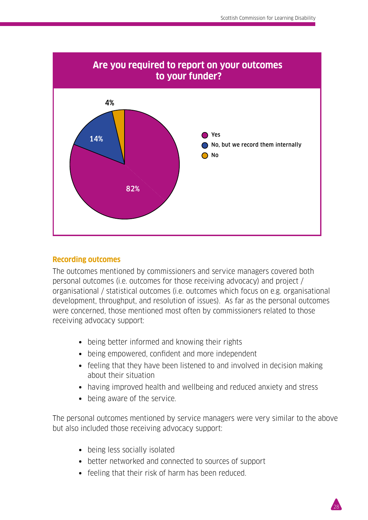

#### **Recording outcomes**

The outcomes mentioned by commissioners and service managers covered both personal outcomes (i.e. outcomes for those receiving advocacy) and project / organisational / statistical outcomes (i.e. outcomes which focus on e.g. organisational development, throughput, and resolution of issues). As far as the personal outcomes were concerned, those mentioned most often by commissioners related to those receiving advocacy support:

- **•** being better informed and knowing their rights
- **•** being empowered, confident and more independent
- **•** feeling that they have been listened to and involved in decision making about their situation
- **•** having improved health and wellbeing and reduced anxiety and stress
- **•** being aware of the service.

The personal outcomes mentioned by service managers were very similar to the above but also included those receiving advocacy support:

- **•** being less socially isolated
- **•** better networked and connected to sources of support
- **•** feeling that their risk of harm has been reduced.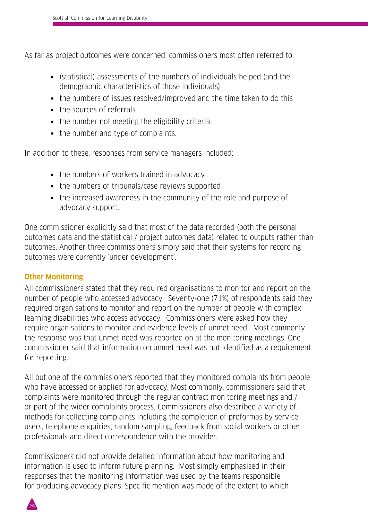As far as project outcomes were concerned, commissioners most often referred to:

- **•** (statistical) assessments of the numbers of individuals helped (and the demographic characteristics of those individuals)
- **•** the numbers of issues resolved/improved and the time taken to do this
- **•** the sources of referrals
- **•** the number not meeting the eligibility criteria
- **•** the number and type of complaints.

In addition to these, responses from service managers included:

- **•** the numbers of workers trained in advocacy
- **•** the numbers of tribunals/case reviews supported
- **•** the increased awareness in the community of the role and purpose of advocacy support.

One commissioner explicitly said that most of the data recorded (both the personal outcomes data and the statistical / project outcomes data) related to outputs rather than outcomes. Another three commissioners simply said that their systems for recording outcomes were currently 'under development'.

# **Other Monitoring**

All commissioners stated that they required organisations to monitor and report on the number of people who accessed advocacy. Seventy-one (71%) of respondents said they required organisations to monitor and report on the number of people with complex learning disabilities who access advocacy. Commissioners were asked how they require organisations to monitor and evidence levels of unmet need. Most commonly the response was that unmet need was reported on at the monitoring meetings. One commissioner said that information on unmet need was not identified as a requirement for reporting.

All but one of the commissioners reported that they monitored complaints from people who have accessed or applied for advocacy. Most commonly, commissioners said that complaints were monitored through the regular contract monitoring meetings and / or part of the wider complaints process. Commissioners also described a variety of methods for collecting complaints including the completion of proformas by service users, telephone enquiries, random sampling, feedback from social workers or other professionals and direct correspondence with the provider.

Commissioners did not provide detailed information about how monitoring and information is used to inform future planning. Most simply emphasised in their responses that the monitoring information was used by the teams responsible for producing advocacy plans. Specific mention was made of the extent to which

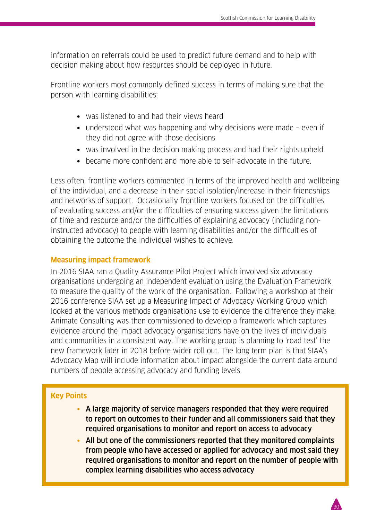information on referrals could be used to predict future demand and to help with decision making about how resources should be deployed in future.

Frontline workers most commonly defined success in terms of making sure that the person with learning disabilities:

- **•** was listened to and had their views heard
- **•** understood what was happening and why decisions were made even if they did not agree with those decisions
- **•** was involved in the decision making process and had their rights upheld
- **•** became more confident and more able to self-advocate in the future.

Less often, frontline workers commented in terms of the improved health and wellbeing of the individual, and a decrease in their social isolation/increase in their friendships and networks of support. Occasionally frontline workers focused on the difficulties of evaluating success and/or the difficulties of ensuring success given the limitations of time and resource and/or the difficulties of explaining advocacy (including noninstructed advocacy) to people with learning disabilities and/or the difficulties of obtaining the outcome the individual wishes to achieve.

#### **Measuring impact framework**

In 2016 SIAA ran a Quality Assurance Pilot Project which involved six advocacy organisations undergoing an independent evaluation using the Evaluation Framework to measure the quality of the work of the organisation. Following a workshop at their 2016 conference SIAA set up a Measuring Impact of Advocacy Working Group which looked at the various methods organisations use to evidence the difference they make. Animate Consulting was then commissioned to develop a framework which captures evidence around the impact advocacy organisations have on the lives of individuals and communities in a consistent way. The working group is planning to 'road test' the new framework later in 2018 before wider roll out. The long term plan is that SIAA's Advocacy Map will include information about impact alongside the current data around numbers of people accessing advocacy and funding levels.

#### **Key Points**

- A large majority of service managers responded that they were required to report on outcomes to their funder and all commissioners said that they required organisations to monitor and report on access to advocacy
- All but one of the commissioners reported that they monitored complaints from people who have accessed or applied for advocacy and most said they required organisations to monitor and report on the number of people with complex learning disabilities who access advocacy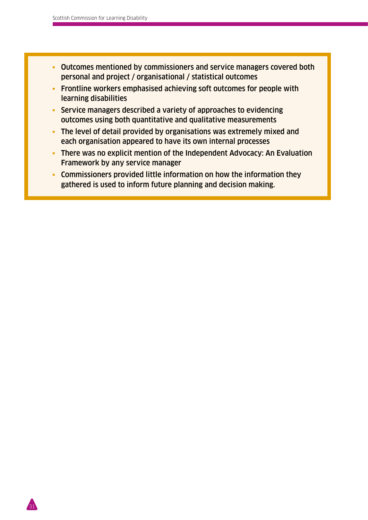- Outcomes mentioned by commissioners and service managers covered both personal and project / organisational / statistical outcomes
- Frontline workers emphasised achieving soft outcomes for people with learning disabilities
- Service managers described a variety of approaches to evidencing outcomes using both quantitative and qualitative measurements
- The level of detail provided by organisations was extremely mixed and each organisation appeared to have its own internal processes
- There was no explicit mention of the Independent Advocacy: An Evaluation Framework by any service manager
- Commissioners provided little information on how the information they gathered is used to inform future planning and decision making.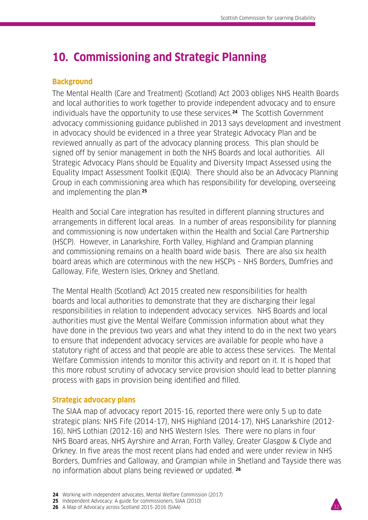# **10. Commissioning and Strategic Planning**

### **Background**

The Mental Health (Care and Treatment) (Scotland) Act 2003 obliges NHS Health Boards and local authorities to work together to provide independent advocacy and to ensure individuals have the opportunity to use these services.**24** The Scottish Government advocacy commissioning guidance published in 2013 says development and investment in advocacy should be evidenced in a three year Strategic Advocacy Plan and be reviewed annually as part of the advocacy planning process. This plan should be signed off by senior management in both the NHS Boards and local authorities. All Strategic Advocacy Plans should be Equality and Diversity Impact Assessed using the Equality Impact Assessment Toolkit (EQIA). There should also be an Advocacy Planning Group in each commissioning area which has responsibility for developing, overseeing and implementing the plan.**<sup>25</sup>**

Health and Social Care integration has resulted in different planning structures and arrangements in different local areas. In a number of areas responsibility for planning and commissioning is now undertaken within the Health and Social Care Partnership (HSCP). However, in Lanarkshire, Forth Valley, Highland and Grampian planning and commissioning remains on a health board wide basis. There are also six health board areas which are coterminous with the new HSCPs – NHS Borders, Dumfries and Galloway, Fife, Western Isles, Orkney and Shetland.

The Mental Health (Scotland) Act 2015 created new responsibilities for health boards and local authorities to demonstrate that they are discharging their legal responsibilities in relation to independent advocacy services. NHS Boards and local authorities must give the Mental Welfare Commission information about what they have done in the previous two years and what they intend to do in the next two years to ensure that independent advocacy services are available for people who have a statutory right of access and that people are able to access these services. The Mental Welfare Commission intends to monitor this activity and report on it. It is hoped that this more robust scrutiny of advocacy service provision should lead to better planning process with gaps in provision being identified and filled.

#### **Strategic advocacy plans**

The SIAA map of advocacy report 2015-16, reported there were only 5 up to date strategic plans: NHS Fife (2014-17), NHS Highland (2014-17), NHS Lanarkshire (2012- 16), NHS Lothian (2012-16) and NHS Western Isles. There were no plans in four NHS Board areas, NHS Ayrshire and Arran, Forth Valley, Greater Glasgow & Clyde and Orkney. In five areas the most recent plans had ended and were under review in NHS Borders, Dumfries and Galloway, and Grampian while in Shetland and Tayside there was no information about plans being reviewed or updated. **<sup>26</sup>**

- **24** Working with independent advocates, Mental Welfare Commission (2017)
- **25** Independent Advocacy: A guide for commissioners, SIAA (2010)
- **26** A Map of Advocacy across Scotland 2015-2016 (SIAA)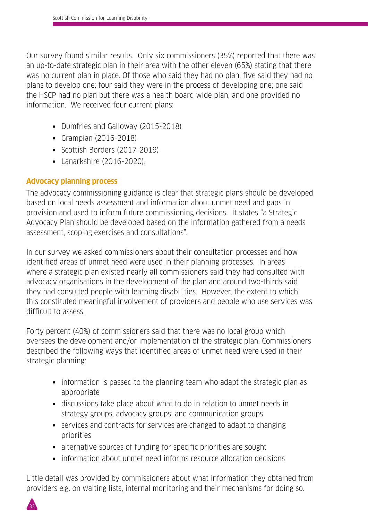Our survey found similar results. Only six commissioners (35%) reported that there was an up-to-date strategic plan in their area with the other eleven (65%) stating that there was no current plan in place. Of those who said they had no plan, five said they had no plans to develop one; four said they were in the process of developing one; one said the HSCP had no plan but there was a health board wide plan; and one provided no information. We received four current plans:

- **•** Dumfries and Galloway (2015-2018)
- **•** Grampian (2016-2018)
- **•** Scottish Borders (2017-2019)
- **•** Lanarkshire (2016-2020).

# **Advocacy planning process**

The advocacy commissioning guidance is clear that strategic plans should be developed based on local needs assessment and information about unmet need and gaps in provision and used to inform future commissioning decisions. It states "a Strategic Advocacy Plan should be developed based on the information gathered from a needs assessment, scoping exercises and consultations".

In our survey we asked commissioners about their consultation processes and how identified areas of unmet need were used in their planning processes. In areas where a strategic plan existed nearly all commissioners said they had consulted with advocacy organisations in the development of the plan and around two-thirds said they had consulted people with learning disabilities. However, the extent to which this constituted meaningful involvement of providers and people who use services was difficult to assess.

Forty percent (40%) of commissioners said that there was no local group which oversees the development and/or implementation of the strategic plan. Commissioners described the following ways that identified areas of unmet need were used in their strategic planning:

- **•** information is passed to the planning team who adapt the strategic plan as appropriate
- **•** discussions take place about what to do in relation to unmet needs in strategy groups, advocacy groups, and communication groups
- **•** services and contracts for services are changed to adapt to changing priorities
- **•** alternative sources of funding for specific priorities are sought
- **•** information about unmet need informs resource allocation decisions

Little detail was provided by commissioners about what information they obtained from providers e.g. on waiting lists, internal monitoring and their mechanisms for doing so.

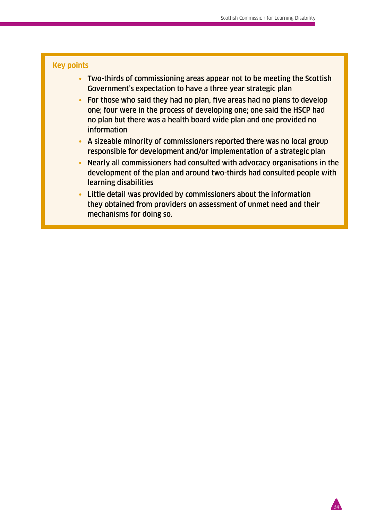# **Key points**

- Two-thirds of commissioning areas appear not to be meeting the Scottish Government's expectation to have a three year strategic plan
- For those who said they had no plan, five areas had no plans to develop one; four were in the process of developing one; one said the HSCP had no plan but there was a health board wide plan and one provided no information
- A sizeable minority of commissioners reported there was no local group responsible for development and/or implementation of a strategic plan
- Nearly all commissioners had consulted with advocacy organisations in the development of the plan and around two-thirds had consulted people with learning disabilities
- Little detail was provided by commissioners about the information they obtained from providers on assessment of unmet need and their mechanisms for doing so.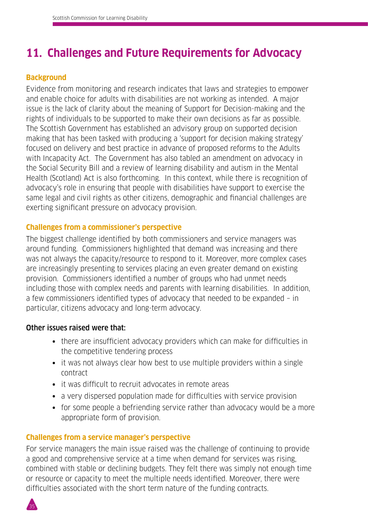# **11. Challenges and Future Requirements for Advocacy**

# **Background**

Evidence from monitoring and research indicates that laws and strategies to empower and enable choice for adults with disabilities are not working as intended. A major issue is the lack of clarity about the meaning of Support for Decision-making and the rights of individuals to be supported to make their own decisions as far as possible. The Scottish Government has established an advisory group on supported decision making that has been tasked with producing a 'support for decision making strategy' focused on delivery and best practice in advance of proposed reforms to the Adults with Incapacity Act. The Government has also tabled an amendment on advocacy in the Social Security Bill and a review of learning disability and autism in the Mental Health (Scotland) Act is also forthcoming. In this context, while there is recognition of advocacy's role in ensuring that people with disabilities have support to exercise the same legal and civil rights as other citizens, demographic and financial challenges are exerting significant pressure on advocacy provision.

# **Challenges from a commissioner's perspective**

The biggest challenge identified by both commissioners and service managers was around funding. Commissioners highlighted that demand was increasing and there was not always the capacity/resource to respond to it. Moreover, more complex cases are increasingly presenting to services placing an even greater demand on existing provision. Commissioners identified a number of groups who had unmet needs including those with complex needs and parents with learning disabilities. In addition, a few commissioners identified types of advocacy that needed to be expanded – in particular, citizens advocacy and long-term advocacy.

# Other issues raised were that:

- **•** there are insufficient advocacy providers which can make for difficulties in the competitive tendering process
- **•** it was not always clear how best to use multiple providers within a single contract
- **•** it was difficult to recruit advocates in remote areas
- **•** a very dispersed population made for difficulties with service provision
- **•** for some people a befriending service rather than advocacy would be a more appropriate form of provision.

# **Challenges from a service manager's perspective**

For service managers the main issue raised was the challenge of continuing to provide a good and comprehensive service at a time when demand for services was rising, combined with stable or declining budgets. They felt there was simply not enough time or resource or capacity to meet the multiple needs identified. Moreover, there were difficulties associated with the short term nature of the funding contracts.

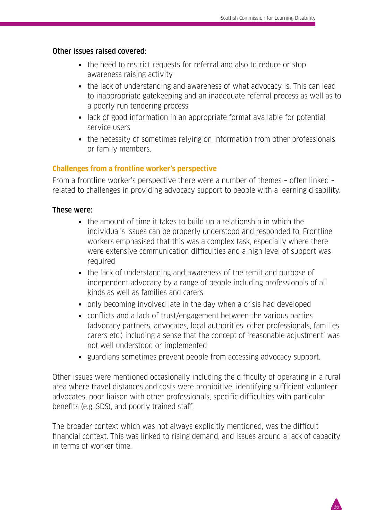#### Other issues raised covered:

- **•** the need to restrict requests for referral and also to reduce or stop awareness raising activity
- **•** the lack of understanding and awareness of what advocacy is. This can lead to inappropriate gatekeeping and an inadequate referral process as well as to a poorly run tendering process
- **•** lack of good information in an appropriate format available for potential service users
- **•** the necessity of sometimes relying on information from other professionals or family members.

# **Challenges from a frontline worker's perspective**

From a frontline worker's perspective there were a number of themes – often linked – related to challenges in providing advocacy support to people with a learning disability.

# These were:

- **•** the amount of time it takes to build up a relationship in which the individual's issues can be properly understood and responded to. Frontline workers emphasised that this was a complex task, especially where there were extensive communication difficulties and a high level of support was required
- **•** the lack of understanding and awareness of the remit and purpose of independent advocacy by a range of people including professionals of all kinds as well as families and carers
- **•** only becoming involved late in the day when a crisis had developed
- **•** conflicts and a lack of trust/engagement between the various parties (advocacy partners, advocates, local authorities, other professionals, families, carers etc.) including a sense that the concept of 'reasonable adjustment' was not well understood or implemented
- **•** guardians sometimes prevent people from accessing advocacy support.

Other issues were mentioned occasionally including the difficulty of operating in a rural area where travel distances and costs were prohibitive, identifying sufficient volunteer advocates, poor liaison with other professionals, specific difficulties with particular benefits (e.g. SDS), and poorly trained staff.

The broader context which was not always explicitly mentioned, was the difficult financial context. This was linked to rising demand, and issues around a lack of capacity in terms of worker time.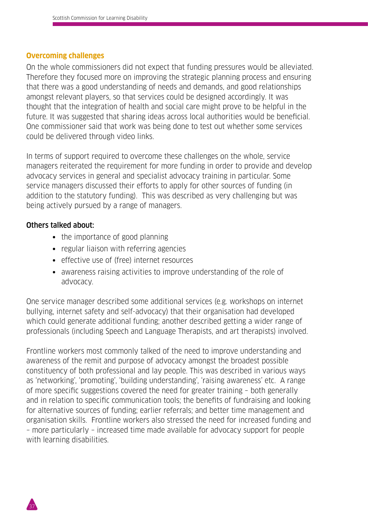### **Overcoming challenges**

On the whole commissioners did not expect that funding pressures would be alleviated. Therefore they focused more on improving the strategic planning process and ensuring that there was a good understanding of needs and demands, and good relationships amongst relevant players, so that services could be designed accordingly. It was thought that the integration of health and social care might prove to be helpful in the future. It was suggested that sharing ideas across local authorities would be beneficial. One commissioner said that work was being done to test out whether some services could be delivered through video links.

In terms of support required to overcome these challenges on the whole, service managers reiterated the requirement for more funding in order to provide and develop advocacy services in general and specialist advocacy training in particular. Some service managers discussed their efforts to apply for other sources of funding (in addition to the statutory funding). This was described as very challenging but was being actively pursued by a range of managers.

# Others talked about:

- **•** the importance of good planning
- **•** regular liaison with referring agencies
- **•** effective use of (free) internet resources
- **•** awareness raising activities to improve understanding of the role of advocacy.

One service manager described some additional services (e.g. workshops on internet bullying, internet safety and self-advocacy) that their organisation had developed which could generate additional funding; another described getting a wider range of professionals (including Speech and Language Therapists, and art therapists) involved.

Frontline workers most commonly talked of the need to improve understanding and awareness of the remit and purpose of advocacy amongst the broadest possible constituency of both professional and lay people. This was described in various ways as 'networking', 'promoting', 'building understanding', 'raising awareness' etc. A range of more specific suggestions covered the need for greater training – both generally and in relation to specific communication tools; the benefits of fundraising and looking for alternative sources of funding; earlier referrals; and better time management and organisation skills. Frontline workers also stressed the need for increased funding and – more particularly – increased time made available for advocacy support for people with learning disabilities.

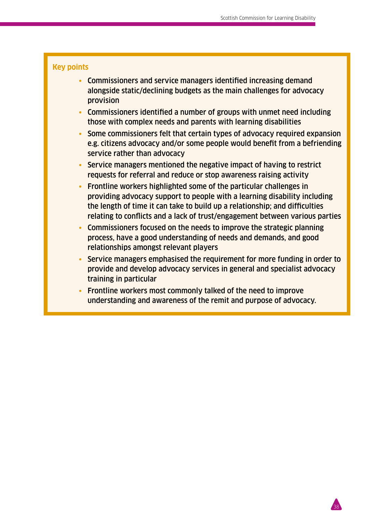#### **Key points**

- Commissioners and service managers identified increasing demand alongside static/declining budgets as the main challenges for advocacy provision
- Commissioners identified a number of groups with unmet need including those with complex needs and parents with learning disabilities
- Some commissioners felt that certain types of advocacy required expansion e.g. citizens advocacy and/or some people would benefit from a befriending service rather than advocacy
- Service managers mentioned the negative impact of having to restrict requests for referral and reduce or stop awareness raising activity
- Frontline workers highlighted some of the particular challenges in providing advocacy support to people with a learning disability including the length of time it can take to build up a relationship; and difficulties relating to conflicts and a lack of trust/engagement between various parties
- Commissioners focused on the needs to improve the strategic planning process, have a good understanding of needs and demands, and good relationships amongst relevant players
- Service managers emphasised the requirement for more funding in order to provide and develop advocacy services in general and specialist advocacy training in particular
- Frontline workers most commonly talked of the need to improve understanding and awareness of the remit and purpose of advocacy.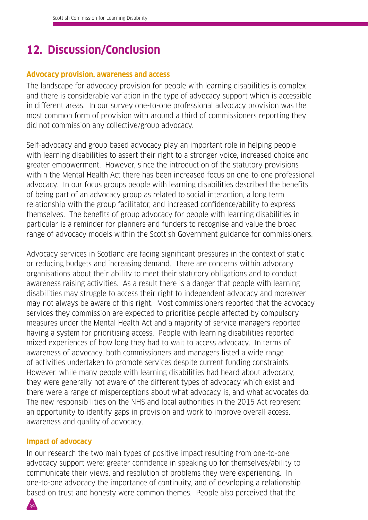# **12. Discussion/Conclusion**

### **Advocacy provision, awareness and access**

The landscape for advocacy provision for people with learning disabilities is complex and there is considerable variation in the type of advocacy support which is accessible in different areas. In our survey one-to-one professional advocacy provision was the most common form of provision with around a third of commissioners reporting they did not commission any collective/group advocacy.

Self-advocacy and group based advocacy play an important role in helping people with learning disabilities to assert their right to a stronger voice, increased choice and greater empowerment. However, since the introduction of the statutory provisions within the Mental Health Act there has been increased focus on one-to-one professional advocacy. In our focus groups people with learning disabilities described the benefits of being part of an advocacy group as related to social interaction, a long term relationship with the group facilitator, and increased confidence/ability to express themselves. The benefits of group advocacy for people with learning disabilities in particular is a reminder for planners and funders to recognise and value the broad range of advocacy models within the Scottish Government guidance for commissioners.

Advocacy services in Scotland are facing significant pressures in the context of static or reducing budgets and increasing demand. There are concerns within advocacy organisations about their ability to meet their statutory obligations and to conduct awareness raising activities. As a result there is a danger that people with learning disabilities may struggle to access their right to independent advocacy and moreover may not always be aware of this right. Most commissioners reported that the advocacy services they commission are expected to prioritise people affected by compulsory measures under the Mental Health Act and a majority of service managers reported having a system for prioritising access. People with learning disabilities reported mixed experiences of how long they had to wait to access advocacy. In terms of awareness of advocacy, both commissioners and managers listed a wide range of activities undertaken to promote services despite current funding constraints. However, while many people with learning disabilities had heard about advocacy, they were generally not aware of the different types of advocacy which exist and there were a range of misperceptions about what advocacy is, and what advocates do. The new responsibilities on the NHS and local authorities in the 2015 Act represent an opportunity to identify gaps in provision and work to improve overall access, awareness and quality of advocacy.

# **Impact of advocacy**

In our research the two main types of positive impact resulting from one-to-one advocacy support were: greater confidence in speaking up for themselves/ability to communicate their views, and resolution of problems they were experiencing. In one-to-one advocacy the importance of continuity, and of developing a relationship based on trust and honesty were common themes. People also perceived that the

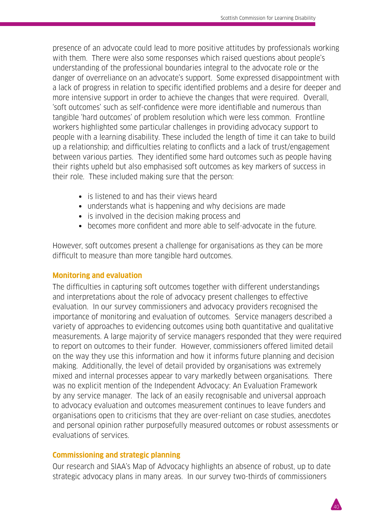presence of an advocate could lead to more positive attitudes by professionals working with them. There were also some responses which raised questions about people's understanding of the professional boundaries integral to the advocate role or the danger of overreliance on an advocate's support. Some expressed disappointment with a lack of progress in relation to specific identified problems and a desire for deeper and more intensive support in order to achieve the changes that were required. Overall, 'soft outcomes' such as self-confidence were more identifiable and numerous than tangible 'hard outcomes' of problem resolution which were less common. Frontline workers highlighted some particular challenges in providing advocacy support to people with a learning disability. These included the length of time it can take to build up a relationship; and difficulties relating to conflicts and a lack of trust/engagement between various parties. They identified some hard outcomes such as people having their rights upheld but also emphasised soft outcomes as key markers of success in their role. These included making sure that the person:

- **•** is listened to and has their views heard
- **•** understands what is happening and why decisions are made
- **•** is involved in the decision making process and
- **•** becomes more confident and more able to self-advocate in the future.

However, soft outcomes present a challenge for organisations as they can be more difficult to measure than more tangible hard outcomes.

# **Monitoring and evaluation**

The difficulties in capturing soft outcomes together with different understandings and interpretations about the role of advocacy present challenges to effective evaluation. In our survey commissioners and advocacy providers recognised the importance of monitoring and evaluation of outcomes. Service managers described a variety of approaches to evidencing outcomes using both quantitative and qualitative measurements. A large majority of service managers responded that they were required to report on outcomes to their funder. However, commissioners offered limited detail on the way they use this information and how it informs future planning and decision making. Additionally, the level of detail provided by organisations was extremely mixed and internal processes appear to vary markedly between organisations. There was no explicit mention of the Independent Advocacy: An Evaluation Framework by any service manager. The lack of an easily recognisable and universal approach to advocacy evaluation and outcomes measurement continues to leave funders and organisations open to criticisms that they are over-reliant on case studies, anecdotes and personal opinion rather purposefully measured outcomes or robust assessments or evaluations of services.

# **Commissioning and strategic planning**

Our research and SIAA's Map of Advocacy highlights an absence of robust, up to date strategic advocacy plans in many areas. In our survey two-thirds of commissioners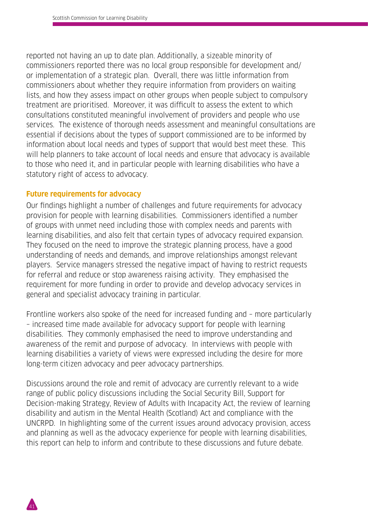reported not having an up to date plan. Additionally, a sizeable minority of commissioners reported there was no local group responsible for development and/ or implementation of a strategic plan. Overall, there was little information from commissioners about whether they require information from providers on waiting lists, and how they assess impact on other groups when people subject to compulsory treatment are prioritised. Moreover, it was difficult to assess the extent to which consultations constituted meaningful involvement of providers and people who use services. The existence of thorough needs assessment and meaningful consultations are essential if decisions about the types of support commissioned are to be informed by information about local needs and types of support that would best meet these. This will help planners to take account of local needs and ensure that advocacy is available to those who need it, and in particular people with learning disabilities who have a statutory right of access to advocacy.

#### **Future requirements for advocacy**

Our findings highlight a number of challenges and future requirements for advocacy provision for people with learning disabilities. Commissioners identified a number of groups with unmet need including those with complex needs and parents with learning disabilities, and also felt that certain types of advocacy required expansion. They focused on the need to improve the strategic planning process, have a good understanding of needs and demands, and improve relationships amongst relevant players. Service managers stressed the negative impact of having to restrict requests for referral and reduce or stop awareness raising activity. They emphasised the requirement for more funding in order to provide and develop advocacy services in general and specialist advocacy training in particular.

Frontline workers also spoke of the need for increased funding and – more particularly – increased time made available for advocacy support for people with learning disabilities. They commonly emphasised the need to improve understanding and awareness of the remit and purpose of advocacy. In interviews with people with learning disabilities a variety of views were expressed including the desire for more long-term citizen advocacy and peer advocacy partnerships.

Discussions around the role and remit of advocacy are currently relevant to a wide range of public policy discussions including the Social Security Bill, Support for Decision-making Strategy, Review of Adults with Incapacity Act, the review of learning disability and autism in the Mental Health (Scotland) Act and compliance with the UNCRPD. In highlighting some of the current issues around advocacy provision, access and planning as well as the advocacy experience for people with learning disabilities, this report can help to inform and contribute to these discussions and future debate.

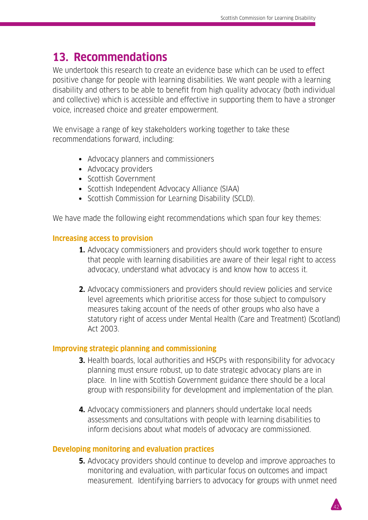# **13. Recommendations**

We undertook this research to create an evidence base which can be used to effect positive change for people with learning disabilities. We want people with a learning disability and others to be able to benefit from high quality advocacy (both individual and collective) which is accessible and effective in supporting them to have a stronger voice, increased choice and greater empowerment.

We envisage a range of key stakeholders working together to take these recommendations forward, including:

- **•** Advocacy planners and commissioners
- **•** Advocacy providers
- **•** Scottish Government
- **•** Scottish Independent Advocacy Alliance (SIAA)
- **•** Scottish Commission for Learning Disability (SCLD).

We have made the following eight recommendations which span four key themes:

# **Increasing access to provision**

- **1.** Advocacy commissioners and providers should work together to ensure that people with learning disabilities are aware of their legal right to access advocacy, understand what advocacy is and know how to access it.
- **2.** Advocacy commissioners and providers should review policies and service level agreements which prioritise access for those subject to compulsory measures taking account of the needs of other groups who also have a statutory right of access under Mental Health (Care and Treatment) (Scotland) Act 2003.

# **Improving strategic planning and commissioning**

- **3.** Health boards, local authorities and HSCPs with responsibility for advocacy planning must ensure robust, up to date strategic advocacy plans are in place. In line with Scottish Government guidance there should be a local group with responsibility for development and implementation of the plan.
- **4.** Advocacy commissioners and planners should undertake local needs assessments and consultations with people with learning disabilities to inform decisions about what models of advocacy are commissioned.

# **Developing monitoring and evaluation practices**

**5.** Advocacy providers should continue to develop and improve approaches to monitoring and evaluation, with particular focus on outcomes and impact measurement. Identifying barriers to advocacy for groups with unmet need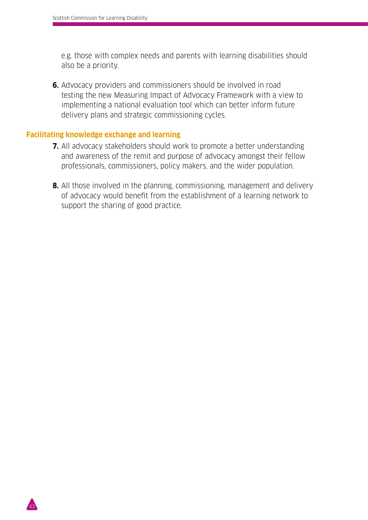e.g. those with complex needs and parents with learning disabilities should also be a priority.

**6.** Advocacy providers and commissioners should be involved in road testing the new Measuring Impact of Advocacy Framework with a view to implementing a national evaluation tool which can better inform future delivery plans and strategic commissioning cycles.

# **Facilitating knowledge exchange and learning**

- **7.** All advocacy stakeholders should work to promote a better understanding and awareness of the remit and purpose of advocacy amongst their fellow professionals, commissioners, policy makers, and the wider population.
- **8.** All those involved in the planning, commissioning, management and delivery of advocacy would benefit from the establishment of a learning network to support the sharing of good practice.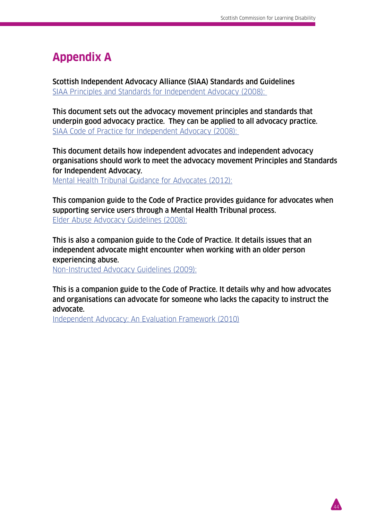44

# **Appendix A**

Scottish Independent Advocacy Alliance (SIAA) Standards and Guidelines [SIAA Principles and Standards for Independent Advocacy \(2008\):](https://www.siaa.org.uk/wp-content/uploads/2013/11/siaa_principles_and_standards_2010.pdf) 

This document sets out the advocacy movement principles and standards that underpin good advocacy practice. They can be applied to all advocacy practice. [SIAA Code of Practice for Independent Advocacy \(2008\):](https://www.siaa.org.uk/wp-content/uploads/2014/02/SIAA_Code_of_Practice_2010.pdf) 

This document details how independent advocates and independent advocacy organisations should work to meet the advocacy movement Principles and Standards for Independent Advocacy.

[Mental Health Tribunal Guidance for Advocates \(2012\):](https://www.mhtscotland.gov.uk/mhts/files/SIAA_Mental_Health_Tribunal_Advocacy_Guidelines.pdf)

This companion guide to the Code of Practice provides guidance for advocates when supporting service users through a Mental Health Tribunal process. [Elder Abuse Advocacy Guidelines \(2008\):](https://www.siaa.org.uk/wp-content/uploads/2014/02/SIAA_Elder_Advocacy.pdf)

This is also a companion guide to the Code of Practice. It details issues that an independent advocate might encounter when working with an older person experiencing abuse.

[Non-Instructed Advocacy Guidelines \(2009\):](https://www.siaa.org.uk/wp-content/uploads/2014/02/SIAA_Non_Instructed_Advocacy.pdf)

This is a companion guide to the Code of Practice. It details why and how advocates and organisations can advocate for someone who lacks the capacity to instruct the advocate.

[Independent Advocacy: An Evaluation Framework \(2010\)](https://www.siaa.org.uk/publications/evaluation-framework/)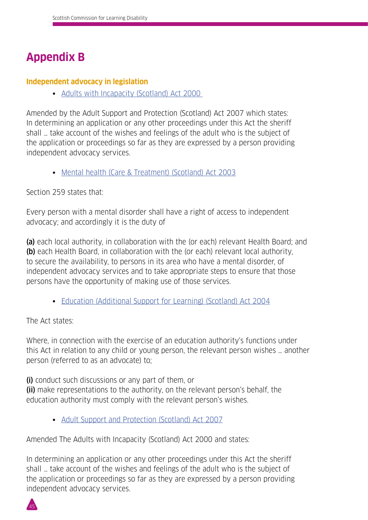# **Appendix B**

# **Independent advocacy in legislation**

• [Adults with Incapacity \(Scotland\) Act 2000](http://www.legislation.gov.uk/asp/2000/4/contents) 

Amended by the Adult Support and Protection (Scotland) Act 2007 which states: In determining an application or any other proceedings under this Act the sheriff shall … take account of the wishes and feelings of the adult who is the subject of the application or proceedings so far as they are expressed by a person providing independent advocacy services.

• [Mental health \(Care & Treatment\) \(Scotland\) Act 2003](http://www.legislation.gov.uk/asp/2003/13/contents)

Section 259 states that:

Every person with a mental disorder shall have a right of access to independent advocacy; and accordingly it is the duty of

(a) each local authority, in collaboration with the (or each) relevant Health Board; and (b) each Health Board, in collaboration with the (or each) relevant local authority, to secure the availability, to persons in its area who have a mental disorder, of independent advocacy services and to take appropriate steps to ensure that those persons have the opportunity of making use of those services.

• [Education \(Additional Support for Learning\) \(Scotland\) Act 2004](http://www.legislation.gov.uk/asp/2009/7/contents)

The Act states:

Where, in connection with the exercise of an education authority's functions under this Act in relation to any child or young person, the relevant person wishes … another person (referred to as an advocate) to;

(i) conduct such discussions or any part of them, or (ii) make representations to the authority, on the relevant person's behalf, the education authority must comply with the relevant person's wishes.

• [Adult Support and Protection \(Scotland\) Act 2007](http://www.legislation.gov.uk/asp/2007/10/contents)

Amended The Adults with Incapacity (Scotland) Act 2000 and states:

In determining an application or any other proceedings under this Act the sheriff shall … take account of the wishes and feelings of the adult who is the subject of the application or proceedings so far as they are expressed by a person providing independent advocacy services.

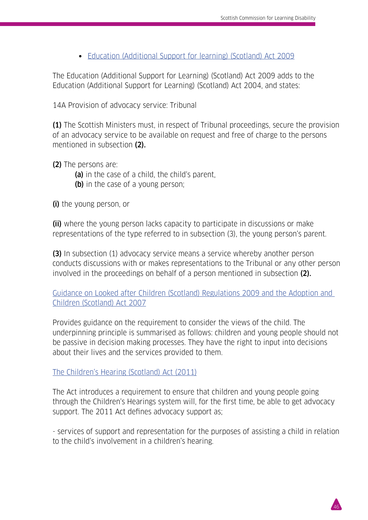**•** [Education \(Additional Support for learning\) \(Scotland\) Act 2009](https://www.legislation.gov.uk/asp/2009/7/contents)

The Education (Additional Support for Learning) (Scotland) Act 2009 adds to the Education (Additional Support for Learning) (Scotland) Act 2004, and states:

14A Provision of advocacy service: Tribunal

(1) The Scottish Ministers must, in respect of Tribunal proceedings, secure the provision of an advocacy service to be available on request and free of charge to the persons mentioned in subsection (2).

(2) The persons are:

- (a) in the case of a child, the child's parent,
- (b) in the case of a young person;

(i) the young person, or

(ii) where the young person lacks capacity to participate in discussions or make representations of the type referred to in subsection (3), the young person's parent.

(3) In subsection (1) advocacy service means a service whereby another person conducts discussions with or makes representations to the Tribunal or any other person involved in the proceedings on behalf of a person mentioned in subsection (2).

[Guidance on Looked after Children \(Scotland\) Regulations 2009 and the Adoption and](http://www.gov.scot/Publications/2011/03/10110037/0)  [Children \(Scotland\) Act 2007](http://www.gov.scot/Publications/2011/03/10110037/0)

Provides guidance on the requirement to consider the views of the child. The underpinning principle is summarised as follows: children and young people should not be passive in decision making processes. They have the right to input into decisions about their lives and the services provided to them.

[The Children's Hearing \(Scotland\) Act \(2011\)](http://www.legislation.gov.uk/asp/2011/1/contents)

The Act introduces a requirement to ensure that children and young people going through the Children's Hearings system will, for the first time, be able to get advocacy support. The 2011 Act defines advocacy support as;

- services of support and representation for the purposes of assisting a child in relation to the child's involvement in a children's hearing.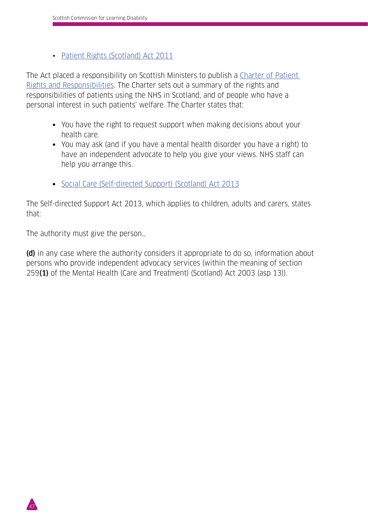• [Patient Rights \(Scotland\) Act 2011](http://www.legislation.gov.uk/asp/2011/5/contents)

The Act placed a responsibility on Scottish Ministers to publish a [Charter of Patient](http://www.gov.scot/resource/0039/00390989.pdf)  [Rights and Responsibilities](http://www.gov.scot/resource/0039/00390989.pdf). The Charter sets out a summary of the rights and responsibilities of patients using the NHS in Scotland, and of people who have a personal interest in such patients' welfare. The Charter states that:

- **•** You have the right to request support when making decisions about your health care.
- **•** You may ask (and if you have a mental health disorder you have a right) to have an independent advocate to help you give your views. NHS staff can help you arrange this.
- **•** [Social Care \(Self-directed Support\) \(Scotland\) Act 2013](http://www.legislation.gov.uk/asp/2013/1/contents/enacted?utm_source=Update&utm_campaign=2a041b3951-Update_Bulletin6_14_2011&utm_medium=email)

The Self-directed Support Act 2013, which applies to children, adults and carers, states that:

The authority must give the person…

47

(d) in any case where the authority considers it appropriate to do so, information about persons who provide independent advocacy services (within the meaning of section 259(1) of the Mental Health (Care and Treatment) (Scotland) Act 2003 (asp 13)).